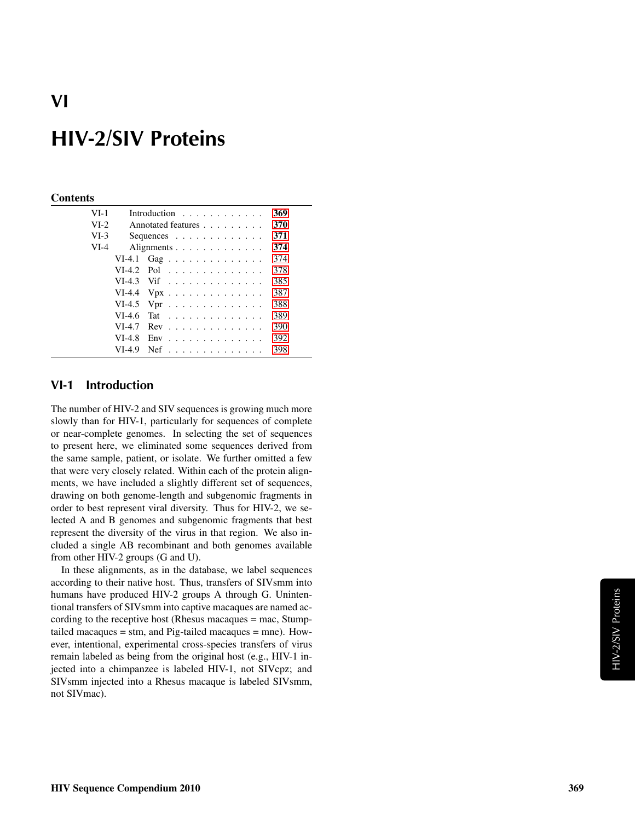#### **Contents**

| $VI-1$ |          | Introduction                                  | 369 |
|--------|----------|-----------------------------------------------|-----|
| $VI-2$ |          | Annotated features                            | 370 |
| $VI-3$ |          | Sequences $\ldots$ $\ldots$ $\ldots$ $\ldots$ | 371 |
| $VI-4$ |          | Alignments                                    | 374 |
|        |          | VI-4.1 Gag                                    | 374 |
|        |          | $VI-4.2$ Pol                                  | 378 |
|        |          | $VI-4.3$ Vif                                  | 385 |
|        |          | VI-4.4 $Vpx$                                  | 387 |
|        |          | VI-4.5 Vpr $\dots \dots \dots \dots \dots$    | 388 |
|        | $VI-4.6$ | Tat                                           | 389 |
|        | $VI-4.7$ | $Rev \dots \dots \dots \dots \dots \dots$     | 390 |
|        | $VI-4.8$ | $Env$ ,,,,,,,,,,,,,,,,,                       | 392 |
|        | VI-4.9   | Nef                                           | 398 |

### <span id="page-0-0"></span>VI-1 Introduction

The number of HIV-2 and SIV sequences is growing much more slowly than for HIV-1, particularly for sequences of complete or near-complete genomes. In selecting the set of sequences to present here, we eliminated some sequences derived from the same sample, patient, or isolate. We further omitted a few that were very closely related. Within each of the protein alignments, we have included a slightly different set of sequences, drawing on both genome-length and subgenomic fragments in order to best represent viral diversity. Thus for HIV-2, we selected A and B genomes and subgenomic fragments that best represent the diversity of the virus in that region. We also included a single AB recombinant and both genomes available from other HIV-2 groups (G and U).

In these alignments, as in the database, we label sequences according to their native host. Thus, transfers of SIVsmm into humans have produced HIV-2 groups A through G. Unintentional transfers of SIVsmm into captive macaques are named according to the receptive host (Rhesus macaques = mac, Stumptailed macaques = stm, and Pig-tailed macaques = mne). However, intentional, experimental cross-species transfers of virus remain labeled as being from the original host (e.g., HIV-1 injected into a chimpanzee is labeled HIV-1, not SIVcpz; and SIVsmm injected into a Rhesus macaque is labeled SIVsmm, not SIVmac).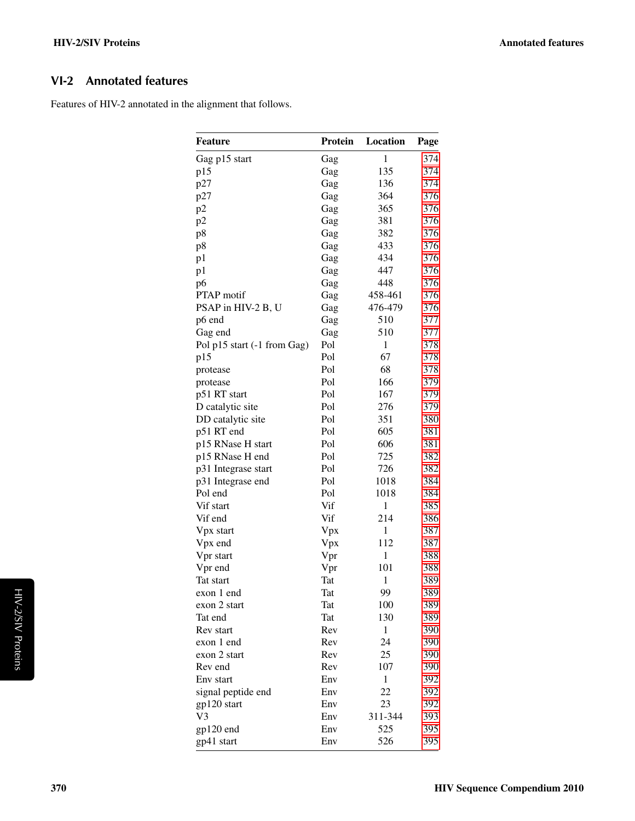## <span id="page-1-0"></span>VI-2 Annotated features

Features of HIV-2 annotated in the alignment that follows.

| <b>Feature</b>                | Protein | Location     | Page       |
|-------------------------------|---------|--------------|------------|
| Gag p15 start                 | Gag     | $\mathbf{1}$ | 374        |
| p15                           | Gag     | 135          | 374        |
| p27                           | Gag     | 136          | 374        |
| p27                           | Gag     | 364          | 376        |
| p2                            | Gag     | 365          | 376        |
| p2                            | Gag     | 381          | 376        |
| p8                            | Gag     | 382          | 376        |
| p8                            | Gag     | 433          | 376        |
| p1                            | Gag     | 434          | 376        |
| p1                            | Gag     | 447          | 376        |
| p6                            | Gag     | 448          | 376        |
| <b>PTAP</b> motif             | Gag     | 458-461      | 376        |
| PSAP in HIV-2 B, U            | Gag     | 476-479      | 376        |
| p6 end                        | Gag     | 510          | 377        |
| Gag end                       | Gag     | 510          | 377        |
| Pol p15 start (-1 from Gag)   | Pol     | 1            | 378        |
| p15                           | Pol     | 67           | 378        |
| protease                      | Pol     | 68           | 378        |
| protease                      | Pol     | 166          | 379        |
| p51 RT start                  | Pol     | 167          | 379        |
| D catalytic site              | Pol     | 276          | 379        |
| DD catalytic site             | Pol     | 351          | 380        |
| p51 RT end                    | Pol     | 605          | 381        |
| p15 RNase H start             | Pol     | 606          | 381        |
| p15 RNase H end               | Pol     | 725          | 382        |
| p31 Integrase start           | Pol     | 726          | 382        |
| p31 Integrase end             | Pol     | 1018         | 384        |
| Pol end                       | Pol     | 1018         | 384        |
| Vif start                     | Vif     | $\mathbf{1}$ | 385        |
| Vif end                       | Vif     | 214          | 386        |
| Vpx start                     | Vpx     | 1            | 387        |
| Vpx end                       | Vpx     | 112          | 387        |
| Vpr start                     | Vpr     | 1            | 388        |
| Vpr end                       | Vpr     | 101          | 388        |
| Tat start                     | Tat     | $\mathbf{1}$ | 389        |
| exon 1 end                    | Tat     | 99           | 389        |
| exon 2 start                  | Tat     | 100          | 389        |
| Tat end                       | Tat     | 130          | 389        |
| Rev start                     | Rev     | 1            | 390        |
| exon 1 end                    | Rev     | 24           | 390        |
| exon 2 start                  | Rev     | 25           | 390        |
| Rev end                       | Rev     | 107          | 390        |
| Env start                     | Env     | 1            | 392        |
| signal peptide end            | Env     | 22           | 392        |
|                               | Env     | 23           |            |
| gp120 start<br>V <sub>3</sub> | Env     | 311-344      | 392<br>393 |
|                               |         |              |            |
| gp120 end                     | Env     | 525          | 395        |
| gp41 start                    | Env     | 526          | 395        |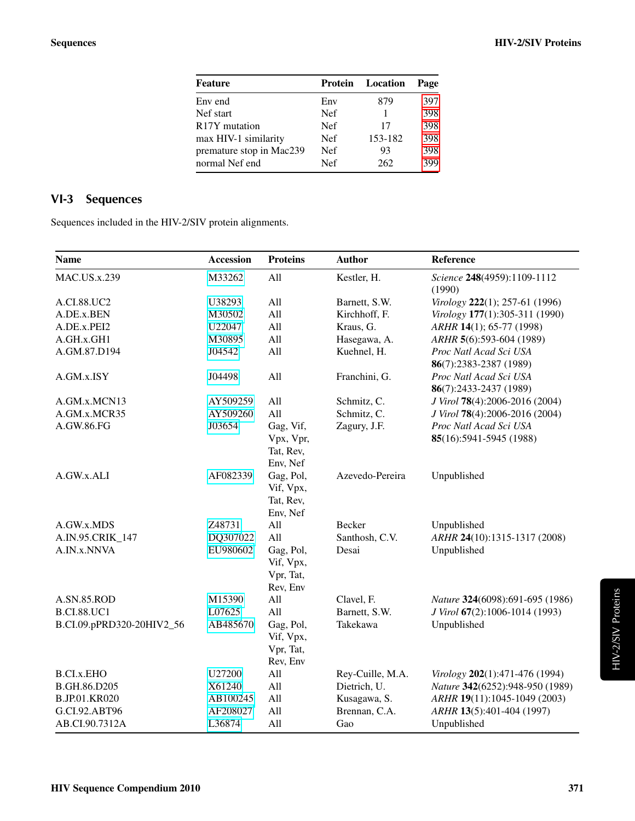| Feature                    | Protein    | Location | Page |
|----------------------------|------------|----------|------|
| Env end                    | Env        | 879      | 397  |
| Nef start                  | Nef        |          | 398  |
| R <sub>17</sub> Y mutation | Nef        | 17       | 398  |
| max HIV-1 similarity       | <b>Nef</b> | 153-182  | 398  |
| premature stop in Mac239   | <b>Nef</b> | 93       | 398  |
| normal Nef end             | <b>Nef</b> | 262      | 399  |

## <span id="page-2-0"></span>VI-3 Sequences

Sequences included in the HIV-2/SIV protein alignments.

| <b>Name</b>               | <b>Accession</b> | <b>Proteins</b>                                 | <b>Author</b>    | Reference                                        |
|---------------------------|------------------|-------------------------------------------------|------------------|--------------------------------------------------|
| <b>MAC.US.x.239</b>       | M33262           | All                                             | Kestler, H.      | Science 248(4959):1109-1112<br>(1990)            |
| A.CI.88.UC2               | U38293           | All                                             | Barnett, S.W.    | Virology 222(1); 257-61 (1996)                   |
| A.DE.x.BEN                | M30502           | All                                             | Kirchhoff, F.    | Virology 177(1):305-311 (1990)                   |
| A.DE.x.PEI2               | U22047           | All                                             | Kraus, G.        | ARHR 14(1); 65-77 (1998)                         |
| A.GH.x.GH1                | M30895           | All                                             | Hasegawa, A.     | ARHR 5(6):593-604 (1989)                         |
| A.GM.87.D194              | J04542           | All                                             | Kuehnel, H.      | Proc Natl Acad Sci USA<br>86(7):2383-2387 (1989) |
| A.GM.x.ISY                | J04498           | All                                             | Franchini, G.    | Proc Natl Acad Sci USA<br>86(7):2433-2437 (1989) |
| A.GM.x.MCN13              | AY509259         | All                                             | Schmitz, C.      | J Virol 78(4):2006-2016 (2004)                   |
| A.GM.x.MCR35              | AY509260         | All                                             | Schmitz, C.      | J Virol 78(4):2006-2016 (2004)                   |
| A.GW.86.FG                | J03654           | Gag, Vif,                                       | Zagury, J.F.     | Proc Natl Acad Sci USA                           |
|                           |                  | Vpx, Vpr,<br>Tat, Rev,<br>Env, Nef              |                  | 85(16):5941-5945 (1988)                          |
| A.GW.x.ALI                | AF082339         | Gag, Pol,<br>Vif, Vpx,<br>Tat, Rev,<br>Env, Nef | Azevedo-Pereira  | Unpublished                                      |
| A.GW.x.MDS                | Z48731           | All                                             | Becker           | Unpublished                                      |
| A.IN.95.CRIK_147          | DQ307022         | All                                             | Santhosh, C.V.   | ARHR 24(10):1315-1317 (2008)                     |
| A.IN.x.NNVA               | EU980602         | Gag, Pol,<br>Vif, Vpx,<br>Vpr, Tat,<br>Rev, Env | Desai            | Unpublished                                      |
| A.SN.85.ROD               | M15390           | All                                             | Clavel, F.       | Nature 324(6098):691-695 (1986)                  |
| <b>B.CI.88.UC1</b>        | L07625           | All                                             | Barnett, S.W.    | J Virol 67(2):1006-1014 (1993)                   |
| B.CI.09.pPRD320-20HIV2_56 | AB485670         | Gag, Pol,<br>Vif, Vpx,<br>Vpr, Tat,<br>Rev, Env | Takekawa         | Unpublished                                      |
| <b>B.CI.x.EHO</b>         | U27200           | All                                             | Rey-Cuille, M.A. | Virology 202(1):471-476 (1994)                   |
| B.GH.86.D205              | X61240           | All                                             | Dietrich, U.     | Nature 342(6252):948-950 (1989)                  |
| <b>B.JP.01.KR020</b>      | AB100245         | All                                             | Kusagawa, S.     | ARHR 19(11):1045-1049 (2003)                     |
| G.CI.92.ABT96             | AF208027         | All                                             | Brennan, C.A.    | ARHR 13(5):401-404 (1997)                        |
| AB.CI.90.7312A            | L36874           | All                                             | Gao              | Unpublished                                      |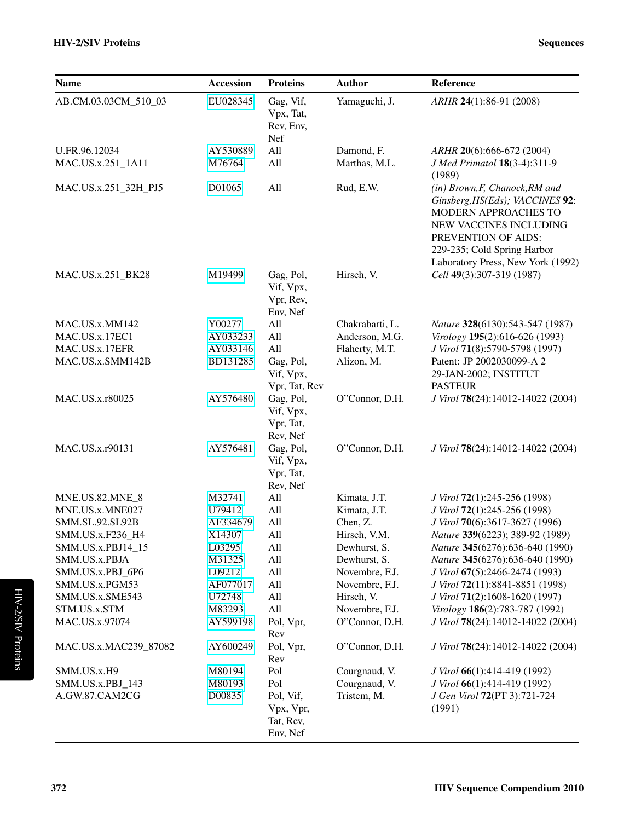| <b>Name</b>           | <b>Accession</b> | <b>Proteins</b>                                 | <b>Author</b>   | Reference                                                                                                                                                                                                      |
|-----------------------|------------------|-------------------------------------------------|-----------------|----------------------------------------------------------------------------------------------------------------------------------------------------------------------------------------------------------------|
| AB.CM.03.03CM_510_03  | EU028345         | Gag, Vif,<br>Vpx, Tat,<br>Rev, Env,<br>Nef      | Yamaguchi, J.   | ARHR 24(1):86-91 (2008)                                                                                                                                                                                        |
| U.FR.96.12034         | AY530889         | All                                             | Damond, F.      | ARHR 20(6):666-672 (2004)                                                                                                                                                                                      |
| MAC.US.x.251_1A11     | M76764           | All                                             | Marthas, M.L.   | J Med Primatol 18(3-4):311-9<br>(1989)                                                                                                                                                                         |
| MAC.US.x.251_32H_PJ5  | D01065           | All                                             | Rud, E.W.       | (in) Brown, F, Chanock, RM and<br>Ginsberg, HS(Eds); VACCINES 92:<br>MODERN APPROACHES TO<br>NEW VACCINES INCLUDING<br>PREVENTION OF AIDS:<br>229-235; Cold Spring Harbor<br>Laboratory Press, New York (1992) |
| MAC.US.x.251_BK28     | M19499           | Gag, Pol,<br>Vif, Vpx,<br>Vpr, Rev,<br>Env, Nef | Hirsch, V.      | Cell 49(3):307-319 (1987)                                                                                                                                                                                      |
| MAC.US.x.MM142        | Y00277           | All                                             | Chakrabarti, L. | Nature 328(6130):543-547 (1987)                                                                                                                                                                                |
| MAC.US.x.17EC1        | AY033233         | All                                             | Anderson, M.G.  | Virology 195(2):616-626 (1993)                                                                                                                                                                                 |
| MAC.US.x.17EFR        | AY033146         | All                                             | Flaherty, M.T.  | J Virol 71(8):5790-5798 (1997)                                                                                                                                                                                 |
| MAC.US.x.SMM142B      | BD131285         | Gag, Pol,<br>Vif, Vpx,<br>Vpr, Tat, Rev         | Alizon, M.      | Patent: JP 2002030099-A 2<br>29-JAN-2002; INSTITUT<br><b>PASTEUR</b>                                                                                                                                           |
| MAC.US.x.r80025       | AY576480         | Gag, Pol,<br>Vif, Vpx,<br>Vpr, Tat,<br>Rev, Nef | O"Connor, D.H.  | J Virol 78(24):14012-14022 (2004)                                                                                                                                                                              |
| MAC.US.x.r90131       | AY576481         | Gag, Pol,<br>Vif, Vpx,<br>Vpr, Tat,<br>Rev, Nef | O"Connor, D.H.  | J Virol 78(24):14012-14022 (2004)                                                                                                                                                                              |
| MNE.US.82.MNE_8       | M32741           | All                                             | Kimata, J.T.    | J Virol 72(1):245-256 (1998)                                                                                                                                                                                   |
| MNE.US.x.MNE027       | U79412           | All                                             | Kimata, J.T.    | J Virol 72(1):245-256 (1998)                                                                                                                                                                                   |
| SMM.SL.92.SL92B       | AF334679         | All                                             | Chen, Z.        | J Virol 70(6):3617-3627 (1996)                                                                                                                                                                                 |
| SMM.US.x.F236_H4      | X14307           | All                                             | Hirsch, V.M.    | Nature 339(6223); 389-92 (1989)                                                                                                                                                                                |
| SMM.US.x.PBJ14_15     | L03295           | All                                             | Dewhurst, S.    | Nature 345(6276):636-640 (1990)                                                                                                                                                                                |
| SMM.US.x.PBJA         | M31325           | All                                             | Dewhurst, S.    | Nature 345(6276):636-640 (1990)                                                                                                                                                                                |
| SMM.US.x.PBJ 6P6      | L09212           | All                                             | Novembre, F.J.  | J Virol 67(5):2466-2474 (1993)                                                                                                                                                                                 |
| SMM.US.x.PGM53        | AF077017         | All                                             | Novembre, F.J.  | J Virol 72(11):8841-8851 (1998)                                                                                                                                                                                |
| SMM.US.x.SME543       | U72748           | All                                             | Hirsch, V.      | J Virol 71(2):1608-1620 (1997)                                                                                                                                                                                 |
| STM.US.x.STM          | M83293           | All                                             | Novembre, F.J.  | Virology 186(2):783-787 (1992)                                                                                                                                                                                 |
| MAC.US.x.97074        | AY599198         | Pol, Vpr,<br>Rev                                | O"Connor, D.H.  | J Virol 78(24):14012-14022 (2004)                                                                                                                                                                              |
| MAC.US.x.MAC239_87082 | AY600249         | Pol, Vpr,<br>Rev                                | O"Connor, D.H.  | J Virol 78(24):14012-14022 (2004)                                                                                                                                                                              |
| SMM.US.x.H9           | M80194           | Pol                                             | Courgnaud, V.   | J Virol 66(1):414-419 (1992)                                                                                                                                                                                   |
| SMM.US.x.PBJ_143      | M80193           | Pol                                             | Courgnaud, V.   | J Virol 66(1):414-419 (1992)                                                                                                                                                                                   |
| A.GW.87.CAM2CG        | D00835           | Pol, Vif,<br>Vpx, Vpr,<br>Tat, Rev,<br>Env, Nef | Tristem, M.     | J Gen Virol 72(PT 3):721-724<br>(1991)                                                                                                                                                                         |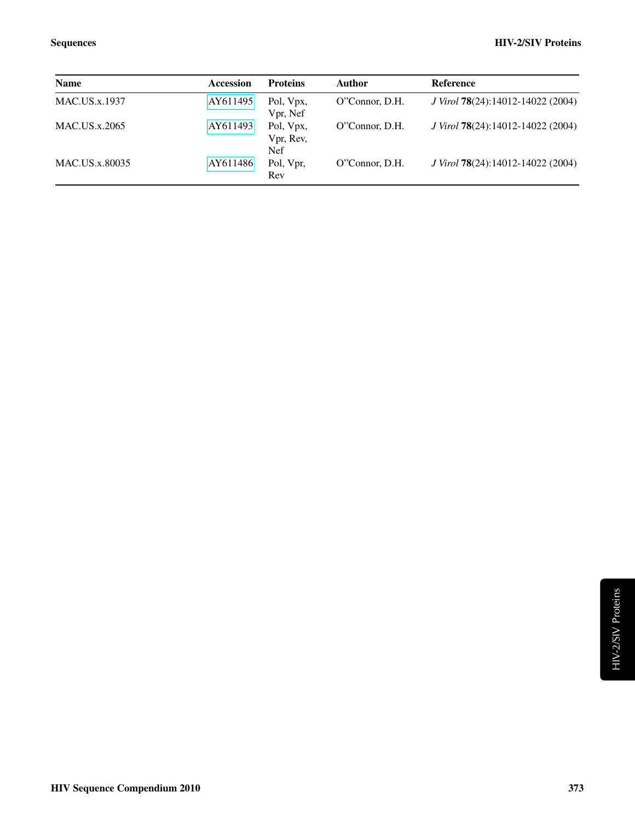| <b>Name</b>          | Accession | <b>Proteins</b>                      | <b>Author</b>  | <b>Reference</b>                  |
|----------------------|-----------|--------------------------------------|----------------|-----------------------------------|
| <b>MAC.US.x.1937</b> | AY611495  | Pol, Vpx,<br>Vpr, Nef                | O"Connor, D.H. | J Virol 78(24):14012-14022 (2004) |
| MAC.US.x.2065        | AY611493  | Pol, Vpx,<br>Vpr, Rev,<br><b>Nef</b> | O"Connor, D.H. | J Virol 78(24):14012-14022 (2004) |
| MAC.US.x.80035       | AY611486  | Pol, Vpr,<br>Rev                     | O"Connor, D.H. | J Virol 78(24):14012-14022 (2004) |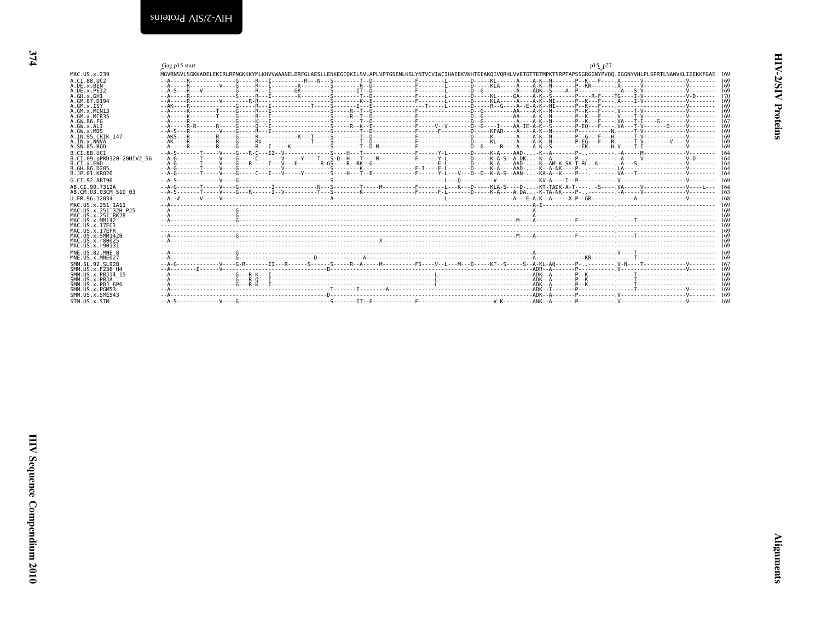<span id="page-5-2"></span><span id="page-5-1"></span><span id="page-5-0"></span>

|                                                     | Gag p15 start                                                                                                                                                                  | p15 p27 |     |
|-----------------------------------------------------|--------------------------------------------------------------------------------------------------------------------------------------------------------------------------------|---------|-----|
| MAC.US.x.239                                        | MGVRNSVLSGKKADELEKIRLRPNGKKKYMLKHVVWAANELDRFGLAESLLENKEGCOKILSVLAPLVPTGSENLKSLYNTVCVIWCIHAEEKVKHTEEAKOIVORHLVVETGTTETMPKTSRPTAPSSGRGGNYPV00.IGGNYVHLPLSPRTLNAWVKLIEEKKFGAE 169 |         |     |
| A.CT.88.UC2                                         |                                                                                                                                                                                |         |     |
| A.DE.x.BEN                                          |                                                                                                                                                                                |         |     |
| A.DE.X.PEI2<br>A.GH.x.GH1                           |                                                                                                                                                                                |         |     |
| A. GM. 87. D194                                     |                                                                                                                                                                                |         |     |
| A.GM.X.ISY                                          |                                                                                                                                                                                |         |     |
| A.GM.X.MCN13<br>A.GM.x.MCR35                        |                                                                                                                                                                                |         | 169 |
| A.GW.86.FG                                          |                                                                                                                                                                                |         |     |
| A.GW.x.ALI                                          |                                                                                                                                                                                |         |     |
| A.GW.x.MDS                                          |                                                                                                                                                                                |         |     |
| A. IN. 95. CRIK 147<br>A.IN.x.NNVA                  |                                                                                                                                                                                |         |     |
| A.SN.85.ROD                                         |                                                                                                                                                                                |         |     |
| B.CT.88.UC1                                         |                                                                                                                                                                                |         |     |
| B.CI.09.pPRD320-20HIV2 56                           |                                                                                                                                                                                |         |     |
| B.CI.x.EHO<br>B. GH. 86. D205                       |                                                                                                                                                                                |         |     |
| B.JP.01.KR020                                       |                                                                                                                                                                                |         |     |
| G.CI.92.ABT96                                       |                                                                                                                                                                                |         |     |
| AB.CI.90.7312A                                      |                                                                                                                                                                                |         |     |
| AB.CM.03.03CM 510 03                                |                                                                                                                                                                                |         |     |
| U.FR.96.12034                                       |                                                                                                                                                                                |         |     |
| MAC.US.x.251 1A11                                   |                                                                                                                                                                                |         |     |
| MAC.US.x.251 32H PJ5                                |                                                                                                                                                                                |         |     |
| MAC.US.x.251 <sup>-</sup> BK28<br>MAC. US. x. MM142 |                                                                                                                                                                                |         |     |
| MAC. U.S. x. 17EC1                                  |                                                                                                                                                                                |         |     |
| MAC.US.x.17EFR                                      |                                                                                                                                                                                |         |     |
| MAC.US.x.SMM142B                                    |                                                                                                                                                                                |         |     |
| MAC.US.x.r80025<br>MAC. U.S. x. r90131              |                                                                                                                                                                                |         |     |
| MNE.US.82.MNE 8                                     |                                                                                                                                                                                |         |     |
| MNE.US.x.MNE027                                     |                                                                                                                                                                                |         |     |
| SMM. SL. 92. SL92B                                  |                                                                                                                                                                                |         |     |
| SMM. US. x. F236 H4                                 |                                                                                                                                                                                |         |     |
| SMM.US.x.PBJ14 15<br>SMM.US.x.PBJA                  |                                                                                                                                                                                |         |     |
| SMM.US.x.PBJ 6P6                                    |                                                                                                                                                                                |         |     |
| SMM. U.S. x. PGM53                                  |                                                                                                                                                                                |         |     |
| SMM. U.S. x. SME543                                 |                                                                                                                                                                                |         |     |
| STM.US.x.STM                                        |                                                                                                                                                                                |         |     |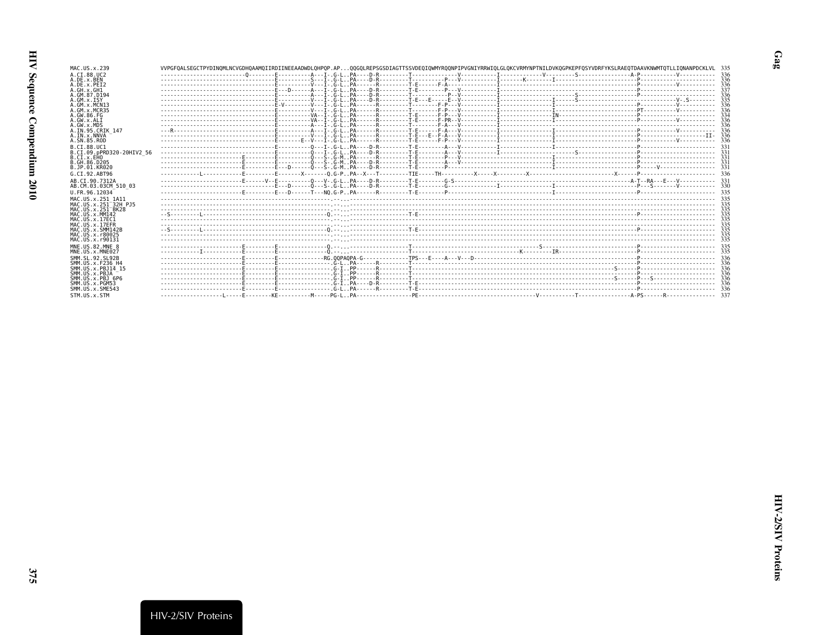| MAC.US.x.239                                                       | VVPGFOALSEGCTPYDINOMLNCVGDHOAAMOIIRDIINEEAADWDLOHPOP.APOOGOLREPSGSDIAGTTSSVDEOIOWMYROONPIPVGNIYRRWIOLGLOKCVRMYNPTNILDVKOGPKEPFOSYVDRFYKSLRAEOTDAAVKNWMTOTLLIONANPDCKLVL 335 |  |  |     |
|--------------------------------------------------------------------|-----------------------------------------------------------------------------------------------------------------------------------------------------------------------------|--|--|-----|
| A.CI.88.UC2                                                        |                                                                                                                                                                             |  |  |     |
| A.DE.x.BEN                                                         |                                                                                                                                                                             |  |  |     |
| A.DE.x.PEI2<br>A.GH.x.GH1                                          |                                                                                                                                                                             |  |  |     |
| A.GM.87.D194                                                       |                                                                                                                                                                             |  |  |     |
| $A.GM.x.$ ISY                                                      |                                                                                                                                                                             |  |  |     |
| A.GM. x.MCN13                                                      |                                                                                                                                                                             |  |  |     |
| A. GM. x. MCR35                                                    |                                                                                                                                                                             |  |  |     |
| A.GW.86.FG                                                         |                                                                                                                                                                             |  |  |     |
| A.GW.x.ALI<br>A.GW.x.MDS                                           |                                                                                                                                                                             |  |  | 336 |
| A.IN.95.CRIK 147                                                   |                                                                                                                                                                             |  |  |     |
| A.IN.x.NNVA                                                        |                                                                                                                                                                             |  |  |     |
| A.SN.85.ROD                                                        |                                                                                                                                                                             |  |  |     |
| B.CT.88.UC1                                                        |                                                                                                                                                                             |  |  |     |
| B.CI.09.pPRD320-20HIV2 56                                          |                                                                                                                                                                             |  |  |     |
| B.C.I.x.EHO                                                        |                                                                                                                                                                             |  |  |     |
| B. GH. 86. D205<br>B.JP.01.KR020                                   |                                                                                                                                                                             |  |  |     |
|                                                                    |                                                                                                                                                                             |  |  |     |
| G.CI.92.ABT96                                                      |                                                                                                                                                                             |  |  |     |
| AB.CI.90.7312A                                                     |                                                                                                                                                                             |  |  |     |
| AB.CM.03.03CM 510 03                                               |                                                                                                                                                                             |  |  |     |
| U.FR.96.12034                                                      |                                                                                                                                                                             |  |  |     |
| MAC.US.x.251 1A11                                                  |                                                                                                                                                                             |  |  |     |
| MAC.US.x.251 <sup>-32H</sup> PJ5<br>MAC.US.x.251 <sup>-</sup> BK28 |                                                                                                                                                                             |  |  |     |
| MAC.US.x.MM142                                                     |                                                                                                                                                                             |  |  |     |
| MAC.US.x.17EC1                                                     |                                                                                                                                                                             |  |  |     |
| MAC.US.x.17EFR                                                     |                                                                                                                                                                             |  |  |     |
| MAC.US.x.SMM142B                                                   |                                                                                                                                                                             |  |  |     |
| MAC.US.x.r80025                                                    |                                                                                                                                                                             |  |  |     |
| MAC.US.x.r90131                                                    |                                                                                                                                                                             |  |  |     |
| MNE.US.82.MNE 8<br>MNE.US.x.MNE027                                 |                                                                                                                                                                             |  |  |     |
|                                                                    |                                                                                                                                                                             |  |  |     |
| SMM. SL. 92. SL92B<br>SMM. US. x. F236 H4                          |                                                                                                                                                                             |  |  |     |
| SMM. US. x. PB.114 15                                              |                                                                                                                                                                             |  |  |     |
| SMM.US.x.PBJA                                                      |                                                                                                                                                                             |  |  |     |
| SMM.US.x.PBJ 6P6                                                   |                                                                                                                                                                             |  |  |     |
| SMM.US.x.PGM53                                                     |                                                                                                                                                                             |  |  |     |
| SMM. U.S. x. SME543                                                |                                                                                                                                                                             |  |  |     |
| STM.US.x.STM                                                       |                                                                                                                                                                             |  |  |     |

 $Gag$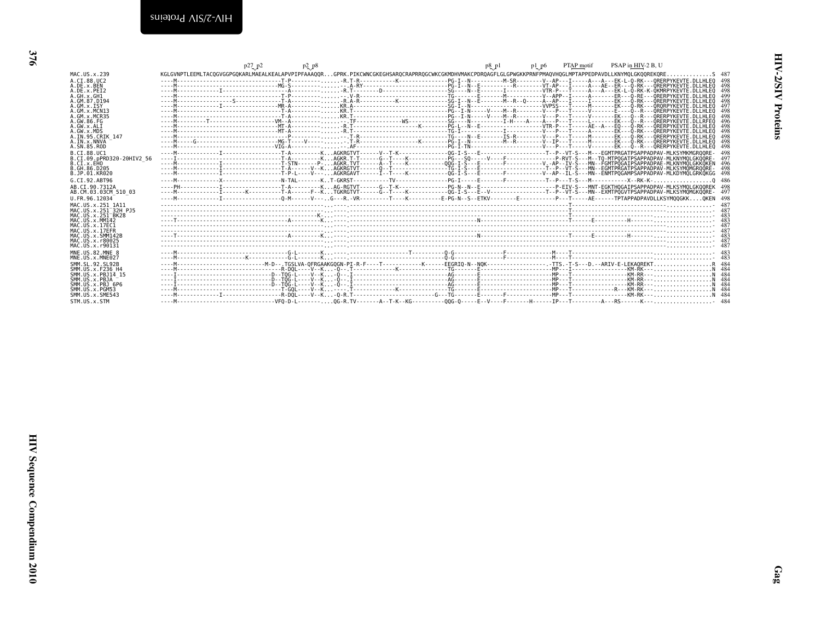<span id="page-7-0"></span>

|                                                  | p27 p2<br>$p_2$ $p_8$                                                                                                                                     | PSAP in HIV-2 B, U<br><b>PTAP</b> motif<br>$p8$ $p1$<br>pl p6 |
|--------------------------------------------------|-----------------------------------------------------------------------------------------------------------------------------------------------------------|---------------------------------------------------------------|
| MAC. US. x. 239                                  | KGLGVNPTLEEMLTACQGVGGPGQKARLMAEALKEALAPVPIPFAAAQQRGPRK.PIKCWNCGKEGHSARQCRAPRRQGCWKCGKMDHVMAKCPDRQAGFLGLGPWGKKPRNFPMAOVHOGLMPTAPPEDPAVDLLKNYMOLGKOOREKORE. | . 5 487                                                       |
| A.CT.88.UC2                                      |                                                                                                                                                           |                                                               |
| A.DE.X.BEN                                       | . M                                                                                                                                                       | 498<br>498                                                    |
| A.DE.x.PEI2<br>A.GH.x.GH1                        |                                                                                                                                                           | 499                                                           |
| A.GM.87.D194                                     |                                                                                                                                                           | 498                                                           |
| A.GM.X.ISY                                       |                                                                                                                                                           | 497                                                           |
| A.GM.X.MCN13<br>A.GM.X.MCR35                     |                                                                                                                                                           | 498<br>498                                                    |
| A. GW. 86. FG                                    |                                                                                                                                                           | 496                                                           |
| A.GW.x.ALT                                       |                                                                                                                                                           | 498                                                           |
| A.GW.x.MDS<br>A.IN.95.CRIK 147                   |                                                                                                                                                           | 498<br>498                                                    |
| A.IN.x.NNVA                                      |                                                                                                                                                           | 498                                                           |
| A.SN.85.ROD                                      |                                                                                                                                                           | 498                                                           |
| B.CI.88.UC1                                      |                                                                                                                                                           | 498                                                           |
| B.CI.09.pPRD320-20HIV2 56<br>B.CI.x.EHO          |                                                                                                                                                           | 497                                                           |
| B.GH.86.D205                                     |                                                                                                                                                           | 498                                                           |
| B.JP.01.KR020                                    |                                                                                                                                                           |                                                               |
| G.CT.92.ABT96                                    |                                                                                                                                                           | .0486                                                         |
| AB.CI.90.7312A<br>AB.CM.03.03CM 510 03           |                                                                                                                                                           |                                                               |
| U.FR.96.12034                                    |                                                                                                                                                           |                                                               |
| MAC.US.x.251 1A11                                |                                                                                                                                                           | 487                                                           |
| MAC. U.S. x . 251 <sup>-32H</sup> P.15           |                                                                                                                                                           |                                                               |
| MAC.US.x.251 <sup>-</sup> BK28<br>MAC.US.x.MM142 |                                                                                                                                                           | -483<br>-483                                                  |
| MAC. US. x. 17EC1                                |                                                                                                                                                           | -487                                                          |
| MAC.US.x.17EFR                                   |                                                                                                                                                           | 487                                                           |
| MAC.US.x.SMM142B<br>MAC.US.x.r80025              |                                                                                                                                                           | 483<br>487                                                    |
| MAC.US.x.r90131                                  |                                                                                                                                                           | 487                                                           |
| MNE.US.82.MNE 8                                  |                                                                                                                                                           |                                                               |
| MNE.US.x.MNE027                                  |                                                                                                                                                           |                                                               |
| SMM. SL. 92. SL92B<br>SMM. U.S. x. F236 H4       |                                                                                                                                                           |                                                               |
| SMM.US.x.PBJ14 15                                |                                                                                                                                                           |                                                               |
| SMM.US.x.PBJA                                    |                                                                                                                                                           |                                                               |
| SMM.US.x.PBJ 6P6<br>SMM.US.x.PGM53               |                                                                                                                                                           |                                                               |
| SMM.US.x.SME543                                  |                                                                                                                                                           |                                                               |
| STM.US.x.STM                                     |                                                                                                                                                           |                                                               |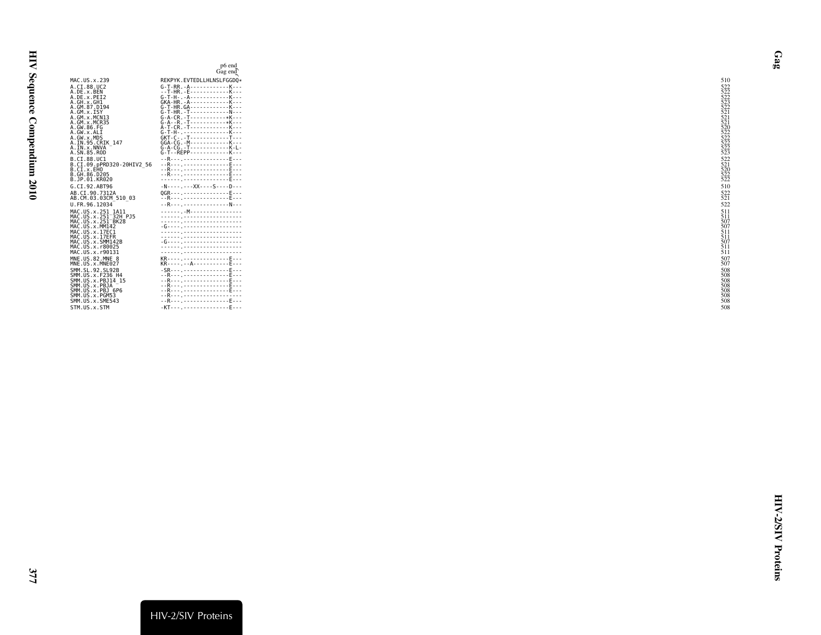<span id="page-8-0"></span>

|                                                                                                                                                                                                   | p6 end<br>Gag end                                                                                                                                                                                                                                                                                                                                                                                                                                                                                                                                                      |                                                      |
|---------------------------------------------------------------------------------------------------------------------------------------------------------------------------------------------------|------------------------------------------------------------------------------------------------------------------------------------------------------------------------------------------------------------------------------------------------------------------------------------------------------------------------------------------------------------------------------------------------------------------------------------------------------------------------------------------------------------------------------------------------------------------------|------------------------------------------------------|
| MAC.US.x.239                                                                                                                                                                                      | REKPYK.EVTEDLLHLNSLFGGD0*                                                                                                                                                                                                                                                                                                                                                                                                                                                                                                                                              | 510                                                  |
| A.CI.88.UC2<br>A.DE.x.BEN<br>A.DE.x.PEI2<br>A.GH.x.GH1<br>A.GM.87.D194<br>A.GM.x.ISY<br>A.GM.x.MCN13<br>A.GM.x.MCR35<br>A.GW.86.FG<br>A.GW.x.ALI<br>A.GW.x.MDS<br>A.IN.95.CRIK 147<br>A.IN.x.NNVA | $G-T-RR. -A - - - - - - - - - - - - K - - -$<br>--T-HR. - E-------------K---<br>$G-T-H-. -A- - - - - - - - - - - - - K- - -$<br>$GKA-HR - A - - - - - - - - - - - - K - - -$<br>G-T-HR.GA------------K---<br>$G - A - CR - T - - - - - - - - - - *K - - -$<br>$G-A-A$ . - R. - T - - - - - - - - - - - * K - - -<br>A-T-CR.-T------------K---<br>G-T-H-, K---<br>$GKT - C - . - T - - - - - - - - - - - - T - - -$<br>$GGA - CG - M - - - - - - - - - - - K - - -$<br>$G - A - CG - T - - - - - - - - - - - - K - L -$<br>$G-T - REPP - - - - - - - - - - - - K - - -$ |                                                      |
| A.SN.85.ROD<br>B.CI.88.UC1<br>B.CI.09.pPRD320-20HIV2 56<br>B.CI.x.EHO<br>B.GH.86.D205<br>B.JP.01.KR020                                                                                            | --R---------------------E---<br>--R--- . - - - - - - - - - - - - - - F - - -<br>- -R- - - <sub>-</sub> - - - - - - - - - - - - - - F- - -<br>- -R- - - <sub>-</sub> - - - - - - - - - - - - - - F- - -                                                                                                                                                                                                                                                                                                                                                                 |                                                      |
| G.CI.92.ABT96                                                                                                                                                                                     | $-N---.--XX---S---D---$                                                                                                                                                                                                                                                                                                                                                                                                                                                                                                                                                | 510                                                  |
| AB.CI.90.7312A<br>AB.CM.03.03CM 510 03                                                                                                                                                            | 0GR--------------------E---<br>--R--- , F                                                                                                                                                                                                                                                                                                                                                                                                                                                                                                                              | 522                                                  |
| U.FR.96.12034                                                                                                                                                                                     | --R--- . - - - - - - - - - - - - - - N- - -                                                                                                                                                                                                                                                                                                                                                                                                                                                                                                                            | 522                                                  |
| MAC.US.x.251 1A11<br>MAC.US.x.251 32H PJ5<br>MAC.US.x.251 <sup>-</sup> BK28<br>MAC.US.x.MM142<br>MAC.US.x.17EC1<br>MAC.US.x.17EFR<br>MAC.US.x.SMM142B<br>MAC. US. x. r80025<br>MAC. US. x. r90131 | . <sub>.</sub> .M.<br>-G---- , --------------------<br>-6--------------------------                                                                                                                                                                                                                                                                                                                                                                                                                                                                                    | 511<br>507<br>507<br>507<br>511<br>511<br>511<br>511 |
| MNE.US.82.MNE 8<br>MNE.US.x.MNE027                                                                                                                                                                | KR---- - - - - - - - - - - - - - F - - -<br>KR----.---A------------F---                                                                                                                                                                                                                                                                                                                                                                                                                                                                                                | 507                                                  |
| SMM. SL. 92. SL92B<br>SMM. US. x. F236 H4<br>SMM. US. x. PBJ14 15<br>SMM.US.x.PBJA<br>SMM.US.x.PBJ 6P6<br>SMM.US.x.PGM53<br>SMM.US.x.SME543<br>STM.US.x.STM                                       | - -R- - - <sub>-</sub> - - - - - - - - - - - - - - F- - -<br>- -R- - - <sub>-</sub> - - - - - - - - - - - - - - F- - -<br>- -R- - - <sub>-</sub> - - - - - - - - - - - - - - F- - -<br>- -R- - - <sub>-</sub> - - - - - - - - - - - - - - F- - -<br>--R--- . ---------------------<br>- - R - - - <sub>-</sub> - - - - - - - - - - - - - - F - - -                                                                                                                                                                                                                     | 508<br>508<br>508<br>508<br>508<br>508<br>508<br>508 |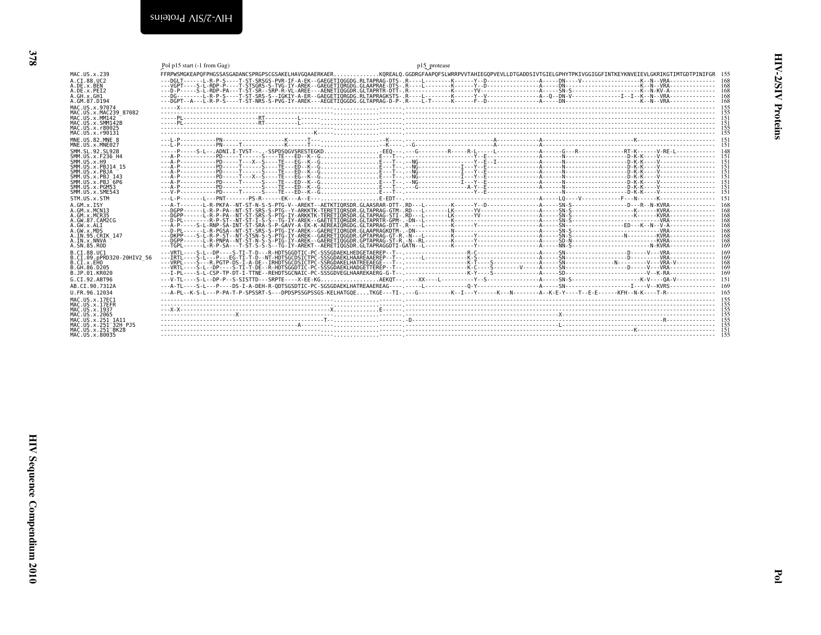<span id="page-9-1"></span><span id="page-9-0"></span>

|                                           | Pol p15 start (-1 from Gag) | p15 protease                                                                                                                                                                |
|-------------------------------------------|-----------------------------|-----------------------------------------------------------------------------------------------------------------------------------------------------------------------------|
| MAC.US.x.239                              |                             | FFRPWSMGKEAPOFPHGSSASGADANCSPRGPSCGSAKELHAVGOAAERKAERKOREALO.GGDRGFAAPOFSLWRRPVVTAHIEGOPVEVLLDTGADDSIVTGIELGPHYTPKIVGGIGGFINTKEYKNVEIEVLGKRIKGTIMTGDTPINIFGR 155            |
| A.CI.88.UC2                               |                             |                                                                                                                                                                             |
| A.DE.x.BEN                                |                             |                                                                                                                                                                             |
| A.DE.x.PET2<br>A.GH.x.GH1                 |                             |                                                                                                                                                                             |
| A.GM.87.D194                              |                             |                                                                                                                                                                             |
| MAC.US.x.97074                            |                             |                                                                                                                                                                             |
| MAC. U.S. x. MAC239 87082                 |                             |                                                                                                                                                                             |
| MAC.US.x.MM142<br>MAC.US.x.SMM142B        |                             |                                                                                                                                                                             |
| MAC.US.x.r80025                           |                             |                                                                                                                                                                             |
| MAC.US.x.r90131                           |                             |                                                                                                                                                                             |
| MNE.US.82.MNE 8                           |                             |                                                                                                                                                                             |
| MNE.US.x.MNE027<br>SMM. SL. 92. SL92B     |                             |                                                                                                                                                                             |
| SMM.US.x.F236 H4                          |                             |                                                                                                                                                                             |
| SMM.US.x.H9                               |                             |                                                                                                                                                                             |
| SMM.US.x.PB.114 15<br>SMM.US.x.PBJA       |                             |                                                                                                                                                                             |
| SMM. US. x. PBJ 143                       |                             |                                                                                                                                                                             |
| $SMM. US. x. PBJ-6P6$                     |                             |                                                                                                                                                                             |
| SMM.US.x.PGM53<br>SMM.US.x.SME543         |                             |                                                                                                                                                                             |
| STM.US.x.STM                              |                             |                                                                                                                                                                             |
| $A.GM.x.$ ISY                             |                             |                                                                                                                                                                             |
| A.GM.x.MCN13                              |                             |                                                                                                                                                                             |
| A. GM. x. MCR35<br>A.GW.87.CAM2CG         |                             |                                                                                                                                                                             |
| A.GW.x.ALI                                |                             |                                                                                                                                                                             |
| A.GW.x.MDS                                |                             |                                                                                                                                                                             |
| A.IN.95.CRIK 147<br>A.IN.x.NNVA           |                             |                                                                                                                                                                             |
| A.SN.85.ROD                               |                             |                                                                                                                                                                             |
| B.CT.88.UC1                               |                             |                                                                                                                                                                             |
| B.CI.09.pPRD320-20HIV2 56<br>B.CI.X.EHO   |                             |                                                                                                                                                                             |
| B. GH. 86. D205                           |                             |                                                                                                                                                                             |
| B.JP.01.KR020                             |                             |                                                                                                                                                                             |
| G.CI.92.ABT96                             |                             |                                                                                                                                                                             |
| AB.CI.90.7312A                            |                             |                                                                                                                                                                             |
| U.FR.96.12034                             |                             | ---A-PL--K-S-L---P-PA-T-P-SPSSRT-S---DPDSPSSGPSSGS-KELHATGOETKGE---TI-.--G---------K--T--Y-----K--N--------A--K-E-Y----T-E-E-------KFH--N-K---T-R---------------------- 165 |
| MAC. US. x. 17EC1<br>MAC.US.x.17EFR       |                             |                                                                                                                                                                             |
| MAC.US.x.1937                             |                             |                                                                                                                                                                             |
| MAC.US.x.2065                             |                             |                                                                                                                                                                             |
| MAC.US.x.251 1A11<br>MAC.US.x.251 32H PJ5 |                             |                                                                                                                                                                             |
| MAC.US.x.251 BK28                         |                             |                                                                                                                                                                             |
| MAC. U.S. x. 80035                        |                             |                                                                                                                                                                             |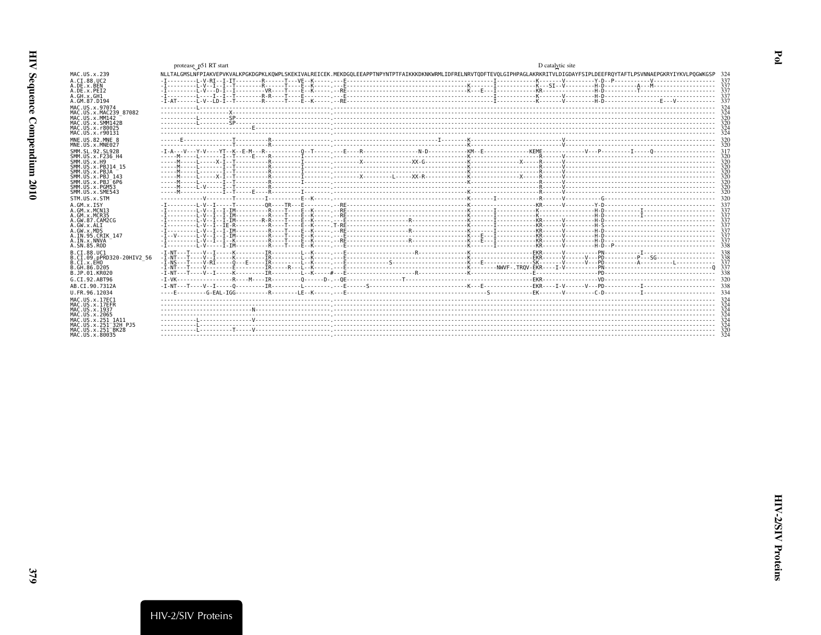<span id="page-10-0"></span>

|                                                       | protease_p51 RT start                                                                                                                                                          | D catalytic site |  |
|-------------------------------------------------------|--------------------------------------------------------------------------------------------------------------------------------------------------------------------------------|------------------|--|
| MAC.US.x.239                                          | NLLTALGMSLNFPIAKVEPVKVALKPGKDGPKLKOWPLSKEKIVALREICEK.MEKDGOLEEAPPTNPYNTPTFAIKKKDKNKWRMLIDFRELNRVTODFTEVOLGIPHPAGLAKRKRITVLDIGDAYFSIPLDEEFROYTAFTLPSVNNAEPGKRYIYKVLPOGWKGSP 324 |                  |  |
| A.CI.88.UC2                                           |                                                                                                                                                                                |                  |  |
| A.DE.x.BEN                                            |                                                                                                                                                                                |                  |  |
| A.DE.x.PEI2<br>A.GH.x.GH1                             |                                                                                                                                                                                |                  |  |
| A.GM.87.D194                                          |                                                                                                                                                                                |                  |  |
| MAC.US.x.97074                                        |                                                                                                                                                                                |                  |  |
| MAC. U.S. x. MAC239 87082                             |                                                                                                                                                                                |                  |  |
| MAC.US.x.MM142<br>MAC.US.x.SMM142B                    |                                                                                                                                                                                |                  |  |
| MAC.US.x.r80025                                       |                                                                                                                                                                                |                  |  |
| MAC.US.x.r90131                                       |                                                                                                                                                                                |                  |  |
| MNE.US.82.MNE 8<br>MNE.US.x.MNE027                    |                                                                                                                                                                                |                  |  |
| SMM. SL. 92. SL92B                                    |                                                                                                                                                                                |                  |  |
| SMM.US.x.F236 H4                                      |                                                                                                                                                                                |                  |  |
| SMM. US. x.H9<br>SMM. US. x. PBJ14 15                 |                                                                                                                                                                                |                  |  |
| SMM.US.x.PBJA                                         |                                                                                                                                                                                |                  |  |
| SMM.US.x.PBJ 143                                      |                                                                                                                                                                                |                  |  |
| $SMM$ . U.S. $\times$ . PB. $T$ 6P6<br>SMM.US.x.PGM53 |                                                                                                                                                                                |                  |  |
| SMM.US.x.SME543                                       |                                                                                                                                                                                |                  |  |
| STM.US.x.STM                                          |                                                                                                                                                                                |                  |  |
| A.GM.X.ISY                                            |                                                                                                                                                                                |                  |  |
| A.GM.x.MCN13                                          |                                                                                                                                                                                |                  |  |
| A. GM. x. MCR35<br>A.GW.87.CAM2CG                     |                                                                                                                                                                                |                  |  |
| A.GW.x.ALI                                            |                                                                                                                                                                                |                  |  |
| A.GW.x.MDS                                            |                                                                                                                                                                                |                  |  |
| A.IN.95.CRIK 147<br>A. IN. x. NNVA                    |                                                                                                                                                                                |                  |  |
| A.SN.85.ROD                                           |                                                                                                                                                                                |                  |  |
| B.CI.88.UC1                                           |                                                                                                                                                                                |                  |  |
| B.CI.09.pPRD320-20HIV2 56<br>B.CI.X.EHO               | $-T - NT - - - T - - -$                                                                                                                                                        |                  |  |
| B.GH.86.D205                                          |                                                                                                                                                                                |                  |  |
| B.JP.01.KR020                                         |                                                                                                                                                                                |                  |  |
| G.CT.92.ABT96                                         |                                                                                                                                                                                |                  |  |
| AB.CI.90.7312A                                        |                                                                                                                                                                                |                  |  |
| U.FR.96.12034                                         |                                                                                                                                                                                |                  |  |
| MAC.US.x.17EC1                                        |                                                                                                                                                                                |                  |  |
| MAC.US.x.17EFR                                        |                                                                                                                                                                                |                  |  |
| MAC.US.x.1937<br>MAC.US.x.2065                        |                                                                                                                                                                                |                  |  |
| MAC.US.x.251 1A11                                     |                                                                                                                                                                                |                  |  |
| MAC.US.x.251 32H PJ5                                  |                                                                                                                                                                                |                  |  |
| MAC.US.x.251 BK28<br>MAC.US.x.80035                   |                                                                                                                                                                                |                  |  |
|                                                       |                                                                                                                                                                                |                  |  |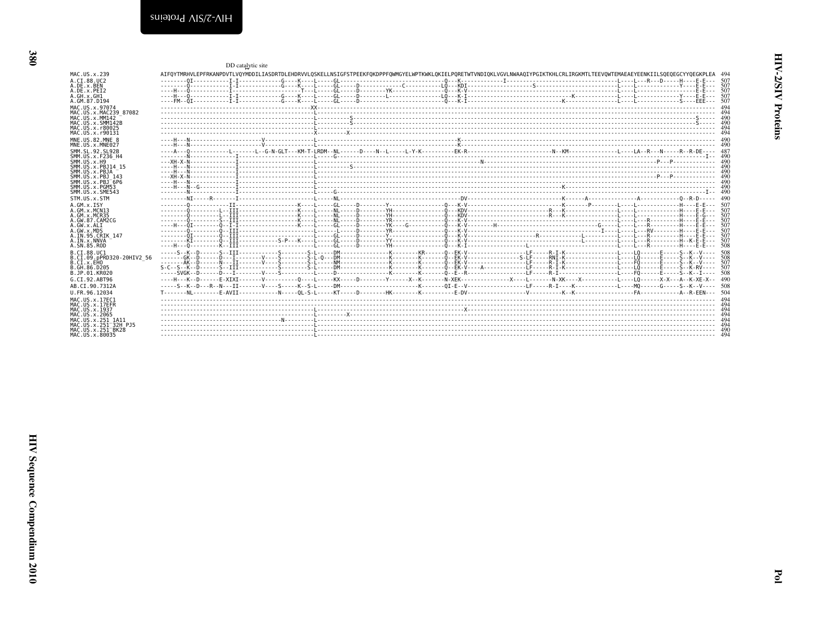<span id="page-11-0"></span>

|                                            | DD catalytic site                                                                                                                                                                                           |  |  |
|--------------------------------------------|-------------------------------------------------------------------------------------------------------------------------------------------------------------------------------------------------------------|--|--|
| MAC.US.x.239                               | AIFOYTMRHVLEPFRKANPDVTLVOYMDDILIASDRTDLEHDRVVLOSKELLNSIGFSTPEEKFOKDPPFOWMGYELWPTKWKLOKIELPORETWTVNDIOKLVGVLNWAAOIYPGIKTKHLCRLIRGKMTLTEEVOWTEMAEAEYEENKIILSOEOEGCYYOEGKPLEA 494                              |  |  |
| A.CT.88.UC2                                |                                                                                                                                                                                                             |  |  |
| A.DE.X.BEN<br>A.DE.x.PEI2                  |                                                                                                                                                                                                             |  |  |
| A.GH.x.GH1                                 |                                                                                                                                                                                                             |  |  |
| A.GM.87.D194                               |                                                                                                                                                                                                             |  |  |
| MAC.US.x.97074                             |                                                                                                                                                                                                             |  |  |
| MAC.US.x.MAC239 87082                      |                                                                                                                                                                                                             |  |  |
| MAC. US. x. MM142<br>MAC.US.x.SMM142B      |                                                                                                                                                                                                             |  |  |
| MAC.US.x.r80025                            |                                                                                                                                                                                                             |  |  |
| MAC.US.x.r90131                            |                                                                                                                                                                                                             |  |  |
| MNE.US.82.MNE 8                            |                                                                                                                                                                                                             |  |  |
| MNE.US.x.MNE027<br>SMM. SL. 92. SL92B      |                                                                                                                                                                                                             |  |  |
| SMM. US. x. F236 H4                        |                                                                                                                                                                                                             |  |  |
| $SMM. US. x. H9$                           |                                                                                                                                                                                                             |  |  |
| SMM.US.x.PBJ14 15                          |                                                                                                                                                                                                             |  |  |
| SMM.US.x.PBJA<br>SMM.US.x.PBJ 143          |                                                                                                                                                                                                             |  |  |
| SMM.US.x.PBJ 6P6                           |                                                                                                                                                                                                             |  |  |
| SMM.US.x.PGM53                             |                                                                                                                                                                                                             |  |  |
| SMM.US.x.SME543<br>STM.US.x.STM            |                                                                                                                                                                                                             |  |  |
|                                            |                                                                                                                                                                                                             |  |  |
| A.GM.x.ISY<br>A.GM.X.MCN13                 |                                                                                                                                                                                                             |  |  |
| A.GM.x.MCR35                               |                                                                                                                                                                                                             |  |  |
| A.GW.87.CAM2CG                             | Hdtattp://www.com/marchivesco.com/index.com/index.com/index.com/index.com/index.com/index.com/index.com/index.com/index.com/index.com/index.com/index.com/index.com/index.com/index.com/index.com/index.com |  |  |
| A.GW.x.ALT<br>A.GW.x.MDS                   |                                                                                                                                                                                                             |  |  |
| A. IN. 95. CRIK 147                        |                                                                                                                                                                                                             |  |  |
| A.IN.x.NNVA                                |                                                                                                                                                                                                             |  |  |
| A.SN.85.ROD                                |                                                                                                                                                                                                             |  |  |
| B.CT.88.UC1<br>B.CI.09.pPRD320-20HIV2 56   |                                                                                                                                                                                                             |  |  |
| B.CI.x.EHO                                 |                                                                                                                                                                                                             |  |  |
| B. GH. 86. D205                            |                                                                                                                                                                                                             |  |  |
| B.JP.01.KR020                              |                                                                                                                                                                                                             |  |  |
| G.CI.92.ABT96                              |                                                                                                                                                                                                             |  |  |
| AB.CI.90.7312A                             |                                                                                                                                                                                                             |  |  |
| U.FR.96.12034                              |                                                                                                                                                                                                             |  |  |
| MAC.US.x.17EC1<br>MAC.US.x.17EFR           |                                                                                                                                                                                                             |  |  |
| MAC.US.x.1937                              |                                                                                                                                                                                                             |  |  |
| MAC.US.x.2065                              |                                                                                                                                                                                                             |  |  |
| MAC.US.x.251 1A11<br>MAC.US.x.251 32H P.15 |                                                                                                                                                                                                             |  |  |
| MAC.US.x.251 <sup>-</sup> BK28             |                                                                                                                                                                                                             |  |  |
| MAC US x 80035                             |                                                                                                                                                                                                             |  |  |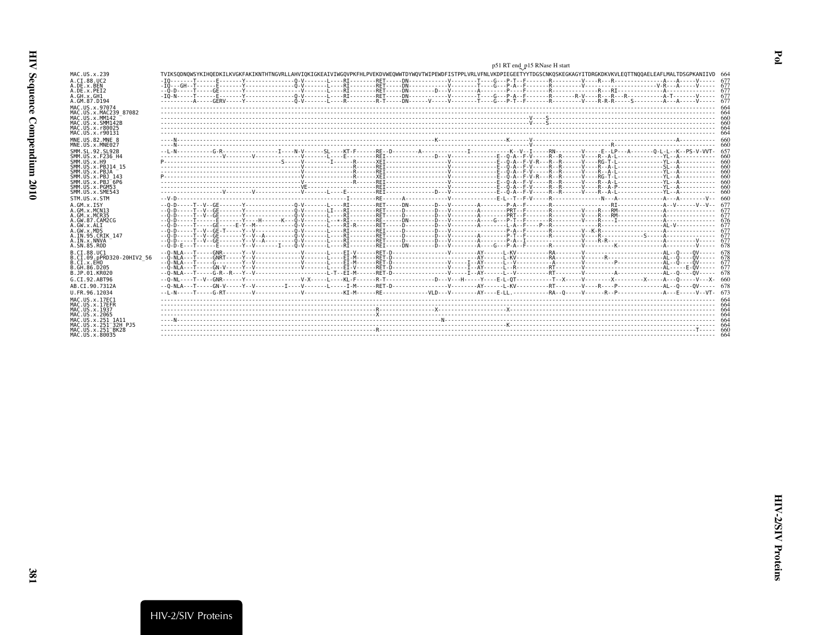| İ<br>į<br>ì<br>ï<br>i |
|-----------------------|
|                       |
| ľ<br>ļ                |
| しくりく                  |

|                                            | p51 RT end_p15 RNase H start                                                                                                                                                   |  |
|--------------------------------------------|--------------------------------------------------------------------------------------------------------------------------------------------------------------------------------|--|
| MAC.US.x.239                               | TVIKSODNOWSYKIHOEDKILKVGKFAKIKNTHTNGVRLLAHVIOKIGKEAIVIWGOVPKFHLPVEKDVWEOWWTDYWOVTWIPEWDFISTPPLVRLVFNLVKDPIEGEETYYTDGSCNKOSKEGKAGYITDRGKDKVKVLEOTTNOOAELEAFLMALTDSGPKANIIVD 664 |  |
| A.CI.88.UC2<br>A.DE.X.BEN                  |                                                                                                                                                                                |  |
| A.DE.x.PEI2                                |                                                                                                                                                                                |  |
| A.GH.x.GH1                                 |                                                                                                                                                                                |  |
| A.GM.87.D194                               |                                                                                                                                                                                |  |
| MAC.US.x.97074<br>MAC. US. x. MAC239 87082 |                                                                                                                                                                                |  |
| MAC.US.x.MM142                             |                                                                                                                                                                                |  |
| MAC.US.x.SMM142B<br>MAC. US. x. r80025     |                                                                                                                                                                                |  |
| MAC.US.x.r90131                            |                                                                                                                                                                                |  |
| MNE.US.82.MNE 8                            |                                                                                                                                                                                |  |
| MNE.US.x.MNE027                            |                                                                                                                                                                                |  |
| SMM. SL. 92. SL92B<br>SMM. US. x. F236 H4  |                                                                                                                                                                                |  |
| SMM. US. x.H9                              |                                                                                                                                                                                |  |
| SMM. US. x. PBJ14 15<br>SMM.US.x.PBJA      |                                                                                                                                                                                |  |
| SMM. U.S. x. PB.1 143                      |                                                                                                                                                                                |  |
| SMM.US.x.PBJ 6P6                           |                                                                                                                                                                                |  |
| SMM.US.x.PGM53<br>SMM.US.x.SME543          |                                                                                                                                                                                |  |
| STM.US.x.STM                               |                                                                                                                                                                                |  |
| A.GM.X.ISY                                 | $-0.0 - 0.1 - 0.0 - 0.0$                                                                                                                                                       |  |
| A.GM.X.MCN13                               |                                                                                                                                                                                |  |
| A. GM. x. MCR35<br>A.GW.87.CAM2CG          |                                                                                                                                                                                |  |
| A.GW.x.ALT                                 |                                                                                                                                                                                |  |
| A.GW.x.MDS<br>A.IN.95.CRIK 147             |                                                                                                                                                                                |  |
| A.IN.x.NNVA                                |                                                                                                                                                                                |  |
| A.SN.85.ROD                                |                                                                                                                                                                                |  |
| B.CI.88.UC1<br>B.CI.09.pPRD320-20HIV2 56   |                                                                                                                                                                                |  |
| B.CI.x.EHO                                 |                                                                                                                                                                                |  |
| B. GH. 86. D205                            |                                                                                                                                                                                |  |
| B.JP.01.KR020<br>G.CI.92.ABT96             |                                                                                                                                                                                |  |
| AB.CI.90.7312A                             |                                                                                                                                                                                |  |
| U.FR.96.12034                              |                                                                                                                                                                                |  |
| MAC. U.S. x. 17EC1                         |                                                                                                                                                                                |  |
| MAC.US.x.17EFR                             |                                                                                                                                                                                |  |
| MAC.US.x.1937<br>MAC.US.x.2065             |                                                                                                                                                                                |  |
| MAC.US.x.251 1A11                          |                                                                                                                                                                                |  |
| MAC.US.x.251 32H PJ5<br>MAC.US.x.251 BK28  |                                                                                                                                                                                |  |
| MAC.US.x.80035                             |                                                                                                                                                                                |  |
|                                            |                                                                                                                                                                                |  |

<span id="page-12-0"></span> $Pol$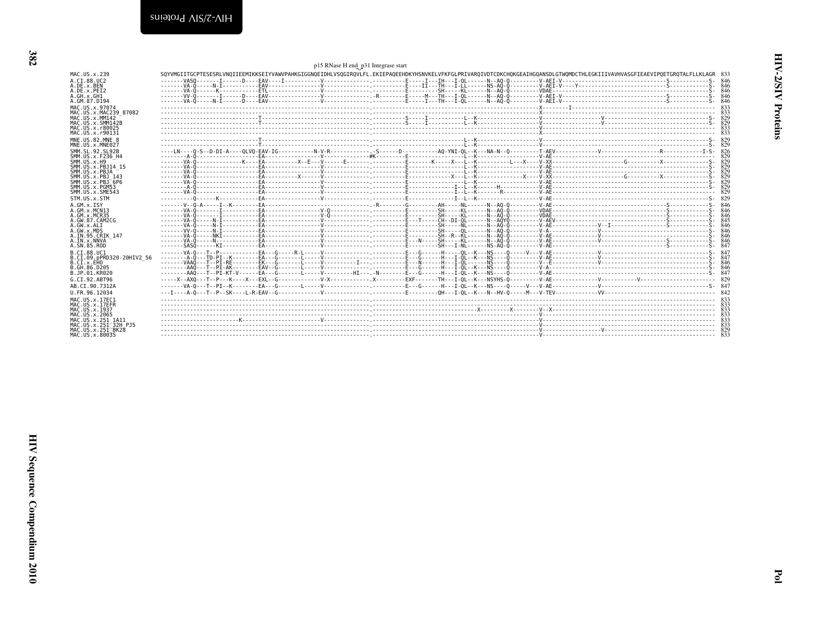<span id="page-13-0"></span>

|                                           | p15 RNase H end_p31 Integrase start                                                                                                                                            |      |
|-------------------------------------------|--------------------------------------------------------------------------------------------------------------------------------------------------------------------------------|------|
| MAC.US.x.239                              | SOYVMGIITGCPTESESRLVNOIIEEMIKKSEIYVAWVPAHKGIGGNOEIDHLVSOGIROVLFL.EKIEPAOEEHDKYHSNVKELVFKFGLPRIVAROIVDTCDKCHOKGEAIHGOANSDLGTWOMDCTHLEGKIIIVAVHVASGFIEAEVIPOETGROTALFLLKLAGR 833 |      |
| A.CT.88.UC2                               |                                                                                                                                                                                |      |
| A.DE.x.BEN                                |                                                                                                                                                                                |      |
| A.DE.x.PEI2<br>A.GH.x.GH1                 |                                                                                                                                                                                |      |
| A.GM.87.D194                              |                                                                                                                                                                                |      |
| MAC.US.x.97074                            |                                                                                                                                                                                |      |
| MAC. U.S. x. MAC239 87082                 |                                                                                                                                                                                |      |
| MAC. US. x. MM142                         |                                                                                                                                                                                |      |
| MAC.US.x.SMM142B<br>MAC.US.x.r80025       |                                                                                                                                                                                | -833 |
| MAC.US.x.r90131                           |                                                                                                                                                                                |      |
| MNE.U.S.82.MNE 8                          |                                                                                                                                                                                |      |
| MNE.US.x.MNE027                           |                                                                                                                                                                                |      |
| SMM. SL. 92. SL92B                        |                                                                                                                                                                                |      |
| SMM.US.x.F236 H4                          |                                                                                                                                                                                |      |
| SMM.US.x.H9<br>SMM.US.x.PBJ14 15          |                                                                                                                                                                                | 829  |
| SMM.US.x.PBJA                             |                                                                                                                                                                                |      |
| SMM. U.S. x. PB.1 143                     |                                                                                                                                                                                |      |
| $SMM. US. x. PBJ-6P6$<br>SMM.US.x.PGM53   |                                                                                                                                                                                |      |
| SMM. U.S. x. SME543                       |                                                                                                                                                                                |      |
| STM.US.x.STM                              |                                                                                                                                                                                |      |
| A.GM.X.ISY                                |                                                                                                                                                                                |      |
| A.GM.x.MCN13                              |                                                                                                                                                                                |      |
| A. GM. x. MCR35                           |                                                                                                                                                                                |      |
| A.GW.87.CAM2CG<br>A.GW.x.ALI              |                                                                                                                                                                                |      |
| A.GW.x.MDS                                |                                                                                                                                                                                |      |
| A.IN.95.CRIK 147                          |                                                                                                                                                                                | -846 |
| A.IN.x.NNVA<br>A.SN.85.ROD                |                                                                                                                                                                                |      |
| B.CT.88.UC1                               |                                                                                                                                                                                |      |
| B.CI.09.pPRD320-20HIV2 56                 |                                                                                                                                                                                |      |
| B.CT.x.EHO                                |                                                                                                                                                                                |      |
| B.GH.86.D205                              |                                                                                                                                                                                |      |
| B.JP.01.KR020                             |                                                                                                                                                                                |      |
| G.CI.92.ABT96                             |                                                                                                                                                                                |      |
| AB.CI.90.7312A                            |                                                                                                                                                                                |      |
| U.FR.96.12034                             |                                                                                                                                                                                |      |
| MAC.US.x.17EC1<br>MAC.US.x.17EFR          |                                                                                                                                                                                |      |
| MAC.US.x.1937                             |                                                                                                                                                                                |      |
| MAC.US.x.2065                             |                                                                                                                                                                                |      |
| MAC.US.x.251 1A11<br>MAC.US.x.251 32H PJ5 |                                                                                                                                                                                |      |
| MAC.US.x.251 <sup>-</sup> BK28            |                                                                                                                                                                                |      |
| MAC.US.x.80035                            |                                                                                                                                                                                |      |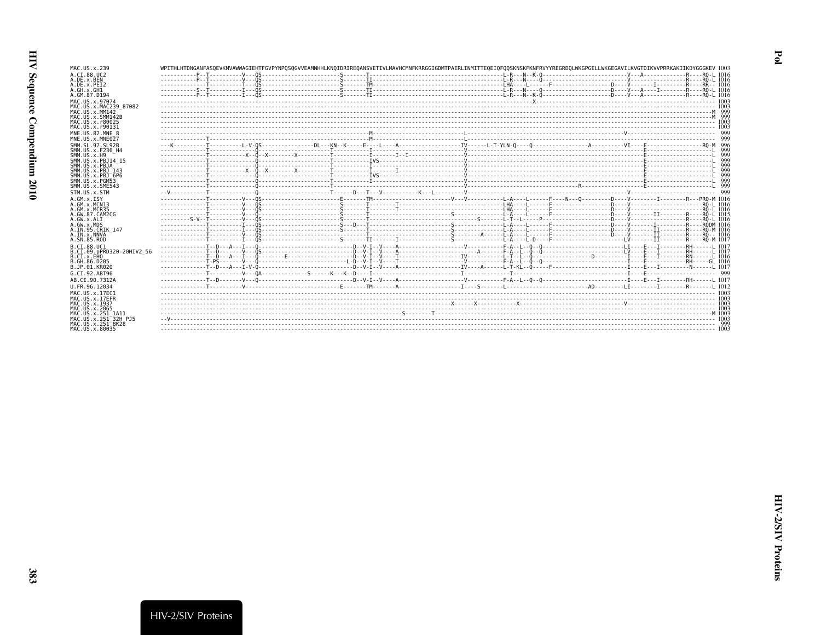| MAC.US.x.239                                                           | WPITHLHTDNGANFASOEVKMVAWWAGIEHTFGVPYNPOSOGVVEAMNHHLKNOIDRIREOANSVETIVLMAVHCMNFKRRGGIGDMTPAERLINMITTEOEIOFOOSKNSKFKNFRVYYREGRDOLWKGPGELLWKGEGAVILKVGTDIKVVPRRKAKIIKDYGGGKEV 1003 |  |  |
|------------------------------------------------------------------------|---------------------------------------------------------------------------------------------------------------------------------------------------------------------------------|--|--|
| A.CI.88.UC2<br>A.DE.x.BEN                                              |                                                                                                                                                                                 |  |  |
| A.DE.x.PEI2                                                            |                                                                                                                                                                                 |  |  |
| A.GH.X.GH1                                                             |                                                                                                                                                                                 |  |  |
| A.GM.87.D194                                                           |                                                                                                                                                                                 |  |  |
| MAC.US.x.97074<br>MAC.US.x.MAC239 87082                                |                                                                                                                                                                                 |  |  |
| MAC.US.x.MM142                                                         |                                                                                                                                                                                 |  |  |
| MAC.US.x.SMM142B                                                       |                                                                                                                                                                                 |  |  |
| MAC.US.x.r80025                                                        |                                                                                                                                                                                 |  |  |
| MAC.US.x.r90131                                                        |                                                                                                                                                                                 |  |  |
| MNE.US.82.MNE 8<br>MNE.US.x.MNE027                                     |                                                                                                                                                                                 |  |  |
| SMM. SL. 92. SL92B                                                     |                                                                                                                                                                                 |  |  |
| SMM. US. x. F236 H4                                                    |                                                                                                                                                                                 |  |  |
| SMM.US.x.H9                                                            |                                                                                                                                                                                 |  |  |
| SMM.US.x.PBJ14 15<br>SMM.US.x.PBJA                                     |                                                                                                                                                                                 |  |  |
| SMM.US.x.PBJ 143                                                       |                                                                                                                                                                                 |  |  |
| SMM. US. x. PBJ 6P6                                                    |                                                                                                                                                                                 |  |  |
| SMM.US.x.PGM53<br>SMM.US.x.SME543                                      |                                                                                                                                                                                 |  |  |
| STM.US.x.STM                                                           |                                                                                                                                                                                 |  |  |
| $A.GM.x.$ ISY                                                          |                                                                                                                                                                                 |  |  |
| A.GM.x.MCN13                                                           |                                                                                                                                                                                 |  |  |
| A. GM. x. MCR35                                                        |                                                                                                                                                                                 |  |  |
| A.GW.87.CAM2CG                                                         |                                                                                                                                                                                 |  |  |
| A.GW.x.ALT<br>A.GW.x.MDS                                               |                                                                                                                                                                                 |  |  |
| A.IN.95.CRIK 147                                                       |                                                                                                                                                                                 |  |  |
| A. IN. x. NNVA                                                         |                                                                                                                                                                                 |  |  |
| A.SN.85.ROD                                                            |                                                                                                                                                                                 |  |  |
| B.CT.88.UC1<br>B.CI.09.pPRD320-20HIV2 56                               |                                                                                                                                                                                 |  |  |
| B.CI.X.EHO                                                             |                                                                                                                                                                                 |  |  |
| B. GH. 86. D205                                                        |                                                                                                                                                                                 |  |  |
| B.JP.01.KR020                                                          |                                                                                                                                                                                 |  |  |
| G.CT.92.ABT96                                                          |                                                                                                                                                                                 |  |  |
| AB.CI.90.7312A                                                         |                                                                                                                                                                                 |  |  |
| U.FR.96.12034                                                          |                                                                                                                                                                                 |  |  |
| MAC. US. x. 17EC1<br>MAC.US.x.17EFR                                    |                                                                                                                                                                                 |  |  |
| MAC.US.x.1937                                                          |                                                                                                                                                                                 |  |  |
| MAC. US. x. 2065                                                       |                                                                                                                                                                                 |  |  |
| MAC.US.x.251 1A11                                                      |                                                                                                                                                                                 |  |  |
| MAC. US. x. 251 <sup>-32H</sup> P.15<br>MAC.US.x.251 <sup>-</sup> BK28 |                                                                                                                                                                                 |  |  |
| MAC.US.x.80035                                                         |                                                                                                                                                                                 |  |  |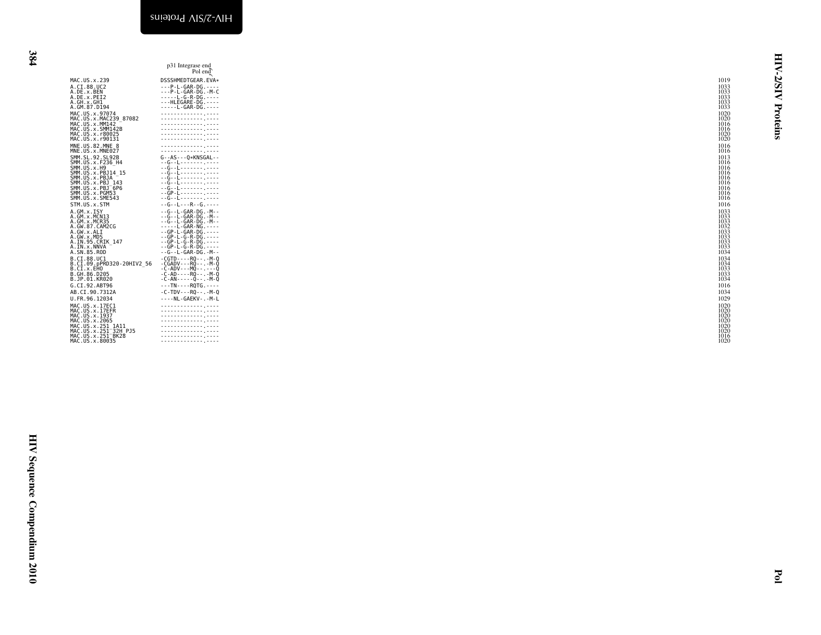<span id="page-15-0"></span>

| I |
|---|
|   |

| p31 Integrase end<br>Pol end<br>MAC.US.x.239<br>DSSSHMEDTGEAR.EVA*<br>1019<br>A.CI.88.UC2<br>A.CI.88.UC2<br>A.DE.x.BEN<br>A.GH.x.GH1<br>A.GM.87.D194<br>1033<br>1033<br>1033<br>$\frac{1033}{1033}$<br>A: Galic 2: Justin<br>MAC. US. x . 97074<br>MAC. US. x . MAC239 - 87082<br>MAC. US. x . SMM142 -<br>MAC. US. x . r 80025<br>MAC. US. x . r 90131<br>1020<br>1020<br>1016<br>.<br>1016<br>.<br>$\frac{1020}{1020}$<br>.<br>MNE.US.82.MNE 8<br>MNE.US.x.MNE027<br>.<br>1016<br><br>1016<br>$G - AS - - Q*KNSGAL - -$<br>FINE. US. X. HINE 2028<br>SMM . US. X. F236 – H4<br>SMM . US. X. F236 – H4<br>SMM . US. X. PB314 – 15<br>SMM . US. X. PB34<br>SMM . US. X. PB3 – 143<br>SMM . US. X. PB3<br>SMM . US. X. PB553<br>SMM . US. X. SME543<br>SMM . US. X. SME543<br>1013<br>$\begin{array}{c} 1016 \\ 1016 \\ 1016 \end{array}$<br>--G--L-------- -----<br>--G--L-------- -----<br>--G--L------- ----<br>1016<br>1016<br>. . G L<br>1016<br>$-$ - GP - L - - - - - - - . - - - -<br>1016<br>--G--L-------.----<br>1016<br>STM.US.x.STM<br>$- - G - - L - - - R - - G - - - - -$<br>1016<br>-- G- L-GAR-DG.<br>--G- L-GAR-DG.<br>--G- L-GAR-DG.<br>--G- L-GAR-DG.<br>---G- L-GAR-DG.<br>--GP- L-G-R-DG.<br>--GP- L-G-R-DG.<br>--GP- L-G-R-DG.<br>--GP- L-G-R-DG.<br>--GP- L-G-R-DG.<br>SIM: US.X.SIM<br>A.GM.x.MCN33<br>A.GM.x.MCN33<br>A.GM.87.CAM2CG<br>A.GW.87.CAM2CG<br>A.GW.x.MD5<br>A.IN.x.NNVA<br>A.IN.x.NNVA<br>A.SN.85.ROD<br>$\begin{array}{c} 1033 \\ 1033 \\ 1033 \\ 1033 \\ 1032 \end{array}$<br>$\begin{array}{c} 1032 \\ 1033 \\ 1033 \\ 1033 \\ 1033 \\ 1034 \end{array}$<br>- CGTD - - - - RQ - - - - M-Q<br>- CGADV - - - RQ - - - - M-Q<br>- C-ADV - - - MQ - - - - O<br>- C - AD - - - - RQ - - - - - M-Q<br>- C - AD - - - - - Q - - - - - M-Q<br>B.CI.88.UC1<br>B.CI.09.pPRD320-20HIV2_56<br>B.CI.X.EHO.<br>$\begin{array}{c} 1034 \\ 1034 \\ 1033 \\ 1033 \\ 1033 \\ 1034 \end{array}$<br>B.GH.86.D205<br>B.JP.01.KR020<br>G.CI.92.ABT96<br>$---TN---ROTG---$<br>1016<br>AB.CI.90.7312A<br>$-C-TDV - -RQ - - - -M - Q$<br>1034<br>----NL-GAEKV-.-M-L<br>1029<br>U.FR.96.12034<br>U.F.H.90.12034<br>MAC.US.x.17EC1<br>MAC.US.x.17EFR<br>MAC.US.x.1937<br>MAC.US.x.2065<br>MAC.US.x.251_32H<br>PAC.US.x.251_3R12H<br>MAC.US.x.251_8R28<br>MAC.US.x.251_8R28<br>.<br>1020<br>$\begin{minipage}{0.5\textwidth} \begin{tabular}{ c c c } \hline \multicolumn{1}{ c }{\textbf{1}} & \multicolumn{1}{ c }{\textbf{2}} & \multicolumn{1}{ c }{\textbf{3}} & \multicolumn{1}{ c }{\textbf{4}} & \multicolumn{1}{ c }{\textbf{5}} & \multicolumn{1}{ c }{\textbf{6}} & \multicolumn{1}{ c }{\textbf{7}} & \multicolumn{1}{ c }{\textbf{8}} & \multicolumn{1}{ c }{\textbf{9}} & \multicolumn{1}{ c }{\textbf{1}} & \multicolumn{1}{ c$<br>1020<br>1020<br>$\begin{array}{c} 1020 \\ 1020 \\ 1020 \\ 1016 \\ 1016 \end{array}$<br>-------------- ----<br>. |
|--------------------------------------------------------------------------------------------------------------------------------------------------------------------------------------------------------------------------------------------------------------------------------------------------------------------------------------------------------------------------------------------------------------------------------------------------------------------------------------------------------------------------------------------------------------------------------------------------------------------------------------------------------------------------------------------------------------------------------------------------------------------------------------------------------------------------------------------------------------------------------------------------------------------------------------------------------------------------------------------------------------------------------------------------------------------------------------------------------------------------------------------------------------------------------------------------------------------------------------------------------------------------------------------------------------------------------------------------------------------------------------------------------------------------------------------------------------------------------------------------------------------------------------------------------------------------------------------------------------------------------------------------------------------------------------------------------------------------------------------------------------------------------------------------------------------------------------------------------------------------------------------------------------------------------------------------------------------------------------------------------------------------------------------------------------------------------------------------------------------------------------------------------------------------------------------------------------------------------------------------------------------------------------------------------------------------------------------------------------------------------------------------------------------------------------------------------------------------------------------------------------------------------------------------------------------------------------------------------------------------------------------------------------------------------------------------------------------------------------------------------------------------------------------------------------------------------------------------------------------------------|
|                                                                                                                                                                                                                                                                                                                                                                                                                                                                                                                                                                                                                                                                                                                                                                                                                                                                                                                                                                                                                                                                                                                                                                                                                                                                                                                                                                                                                                                                                                                                                                                                                                                                                                                                                                                                                                                                                                                                                                                                                                                                                                                                                                                                                                                                                                                                                                                                                                                                                                                                                                                                                                                                                                                                                                                                                                                                                |
|                                                                                                                                                                                                                                                                                                                                                                                                                                                                                                                                                                                                                                                                                                                                                                                                                                                                                                                                                                                                                                                                                                                                                                                                                                                                                                                                                                                                                                                                                                                                                                                                                                                                                                                                                                                                                                                                                                                                                                                                                                                                                                                                                                                                                                                                                                                                                                                                                                                                                                                                                                                                                                                                                                                                                                                                                                                                                |
|                                                                                                                                                                                                                                                                                                                                                                                                                                                                                                                                                                                                                                                                                                                                                                                                                                                                                                                                                                                                                                                                                                                                                                                                                                                                                                                                                                                                                                                                                                                                                                                                                                                                                                                                                                                                                                                                                                                                                                                                                                                                                                                                                                                                                                                                                                                                                                                                                                                                                                                                                                                                                                                                                                                                                                                                                                                                                |
|                                                                                                                                                                                                                                                                                                                                                                                                                                                                                                                                                                                                                                                                                                                                                                                                                                                                                                                                                                                                                                                                                                                                                                                                                                                                                                                                                                                                                                                                                                                                                                                                                                                                                                                                                                                                                                                                                                                                                                                                                                                                                                                                                                                                                                                                                                                                                                                                                                                                                                                                                                                                                                                                                                                                                                                                                                                                                |
|                                                                                                                                                                                                                                                                                                                                                                                                                                                                                                                                                                                                                                                                                                                                                                                                                                                                                                                                                                                                                                                                                                                                                                                                                                                                                                                                                                                                                                                                                                                                                                                                                                                                                                                                                                                                                                                                                                                                                                                                                                                                                                                                                                                                                                                                                                                                                                                                                                                                                                                                                                                                                                                                                                                                                                                                                                                                                |
|                                                                                                                                                                                                                                                                                                                                                                                                                                                                                                                                                                                                                                                                                                                                                                                                                                                                                                                                                                                                                                                                                                                                                                                                                                                                                                                                                                                                                                                                                                                                                                                                                                                                                                                                                                                                                                                                                                                                                                                                                                                                                                                                                                                                                                                                                                                                                                                                                                                                                                                                                                                                                                                                                                                                                                                                                                                                                |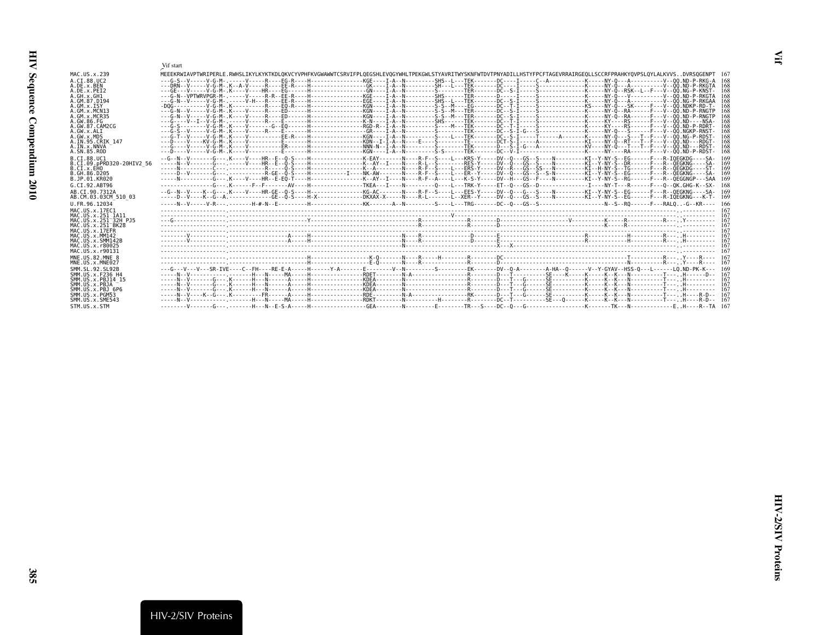<span id="page-16-0"></span>

|                                          | Vif start                                                                                                                                                                       |
|------------------------------------------|---------------------------------------------------------------------------------------------------------------------------------------------------------------------------------|
| MAC.US.x.239                             | MEEEKRWIAVPTWRIPERLE.RWHSLIKYLKYKTKDLOKVCYVPHFKVGWAWWTCSRVIFPLOEGSHLEVOGYWHLTPEKGWLSTYAVRITWYSKNFWTDVTPNYADILLHSTYFPCFTAGEVRRAIRGEOLLSCCRFPRAHKYOVPSLOYLALKVVSDVRSOGENPT 16     |
| A.CT.88.UC2<br>A.DE.X.BEN                | -16<br>16                                                                                                                                                                       |
| A.DE.x.PEI2<br>A.GH.x.GH1                | 16<br>16                                                                                                                                                                        |
| A.GM.87.D194                             |                                                                                                                                                                                 |
| A.GM.X.ISY<br>A.GM.X.MCN13               | 16                                                                                                                                                                              |
| A.GM.x.MCR35                             | 16                                                                                                                                                                              |
| A.GW.86.FG<br>A.GW.87.CAM2CG             | 16<br>16                                                                                                                                                                        |
| A.GW.x.ALI                               |                                                                                                                                                                                 |
| A.GW.x.MDS<br>A. IN. 95. CRIK 147        | 16<br>16                                                                                                                                                                        |
| A.IN.x.NNVA                              | 16                                                                                                                                                                              |
| A.SN.85.ROD                              | 16                                                                                                                                                                              |
| B.CT.88.UC1<br>B.CI.09.pPRD320-20HIV2 56 | --G--N--V-------G---,K----V----HR--E--O-S----H-------------K-EAY-------R-F--S----L---KRS-Y-----DV--O---GS--S----N-------------KI--Y-NY-S--EG------F---R-IOEGKDG----SA-<br>16    |
| B.CI.X.EHO                               | 16                                                                                                                                                                              |
| B.GH.86.D205<br>B.JP.01.KR020            | -----D--V-------G--- -----------R-GE--O-S----H-----------I----NK-AW-------N----R-F--S----E---ER-Y-----DV--O--GS--S-S-N--------KI--Y-NY-S--EG-----F---R--OEGKNG----SA-<br>16     |
| G.CI.92.ABT96                            | 16                                                                                                                                                                              |
| AB.CI.90.7312A                           | --G--N--V----K--G--- K---V----HR-GE--O-S----H--------------KG-AC-------N----R-F--S----L---EES-Y-----DV--O--G---S----N------------KI--Y-NY-S--EG------F---R--OEGKNG----SA-<br>16 |
| AB.CM.03.03CM 510 03                     |                                                                                                                                                                                 |
| U.FR.96.12034                            |                                                                                                                                                                                 |
| MAC.US.x.17EC1<br>MAC.US.x.251 1A11      |                                                                                                                                                                                 |
| MAC.US.x.251 32H PJ5                     |                                                                                                                                                                                 |
| MAC.US.x.251 BK28<br>MAC.US.x.17EFR      |                                                                                                                                                                                 |
| MAC.US.x.MM142                           |                                                                                                                                                                                 |
| MAC.US.x.SMM142B<br>MAC.US.x.r80025      |                                                                                                                                                                                 |
| MAC.US.x.r90131                          |                                                                                                                                                                                 |
| MNE.US.82.MNE 8<br>MNE.US.x.MNE027       |                                                                                                                                                                                 |
| SMM. SL. 92. SL92B                       | ---G---V---SR-IVE----C--FH----RE-E-A-----H------Y-A-------E-------V-N--------S---------FK-------DV--0-A--------A-HA--0------V--Y-GYAV--HSS-0---L------LO.ND-PK-K--- 16          |
| SMM. U.S. x. F236 H4                     |                                                                                                                                                                                 |
| SMM. U.S. x. PB. 114 15<br>SMM.US.x.PBJA |                                                                                                                                                                                 |
| SMM.US.x.PBJ 6P6                         |                                                                                                                                                                                 |
| SMM.US.x.PGM53<br>SMM. US. x. SME543     |                                                                                                                                                                                 |
| STM.US.x.STM                             |                                                                                                                                                                                 |

<span id="page-16-1"></span> $\mathbf{H}$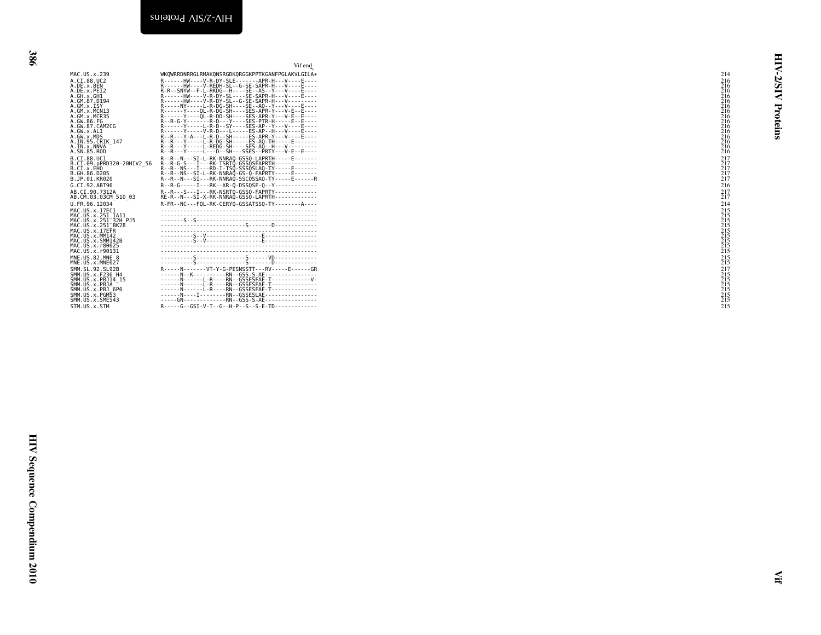<span id="page-17-0"></span>

| Vif end<br>WKQWRRDNRRGLRMAKQNSRGDKQRGGKPPTKGANFPGLAKVLGILA*                                           |  | ₹<br>214                                                    |
|-------------------------------------------------------------------------------------------------------|--|-------------------------------------------------------------|
|                                                                                                       |  | <b>NSIZ</b>                                                 |
|                                                                                                       |  | Proteins                                                    |
| R--R-G-----I---RK--XR-Q-DSSQSF-Q--Y-------------                                                      |  | 217<br>217<br>217<br>217<br>217<br>217<br>216               |
| R-FR--NC---FQL-RK-CERYQ-GSSATSSQ-TY--------A----                                                      |  | $^{217}_{217}$<br>214                                       |
|                                                                                                       |  | 215<br>215<br>215<br>215<br>215<br>215<br>215<br>215<br>215 |
|                                                                                                       |  | $^{215}_{215}$                                              |
| -----GN-------------RN--GSS-S-AE----------------<br>R-----G--GSI-V-T--G--H-P--S--S-E-TD-------------- |  | 215                                                         |
|                                                                                                       |  |                                                             |
|                                                                                                       |  |                                                             |
|                                                                                                       |  |                                                             |
|                                                                                                       |  |                                                             |
|                                                                                                       |  |                                                             |
|                                                                                                       |  |                                                             |
|                                                                                                       |  |                                                             |
|                                                                                                       |  |                                                             |
|                                                                                                       |  | ≦                                                           |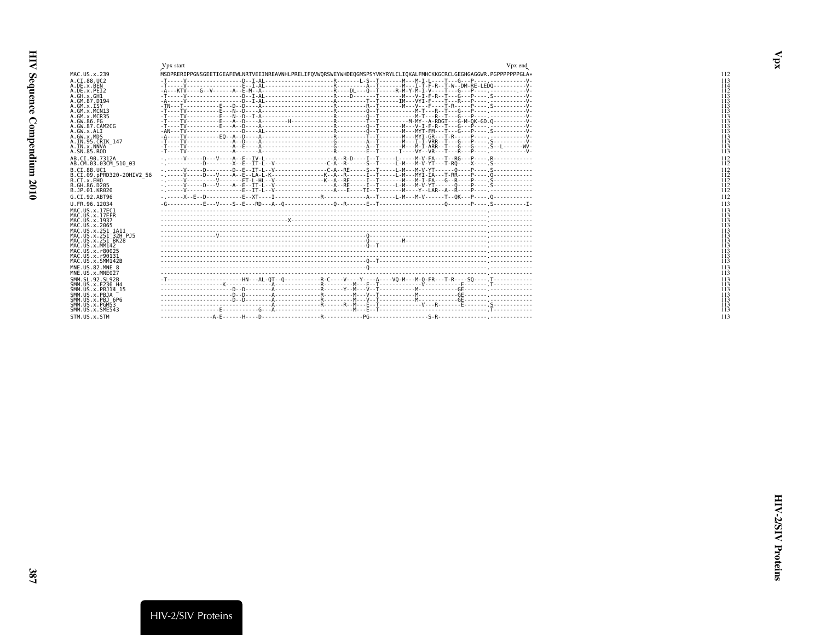<span id="page-18-0"></span>

|                                          | Vpx end<br>Vpx start                                                                                                                                                                       |
|------------------------------------------|--------------------------------------------------------------------------------------------------------------------------------------------------------------------------------------------|
| MAC.US.x.239                             | MSDPRERIPPGNSGEETIGEAFEWLNRTVEEINREAVNHLPRELIFOVWORSWEYWHDEOGMSPSYVKYRYLCLIOKALFMHCKKGCRCLGEGHGAGGWR.PGPPPPPPGLA*                                                                          |
| A.CI.88.UC2                              | -------------------R-------  -S--T-------M---M-T-  ----T---G---P----<br>-------------D--T-AI --                                                                                            |
| A.DE.x.BEN                               |                                                                                                                                                                                            |
| A.DE.x.PEI2                              |                                                                                                                                                                                            |
| A.GH.x.GH1                               |                                                                                                                                                                                            |
| A. GM. 87. D194<br>$A.GM.x.$ TSY         | . F N N .                                                                                                                                                                                  |
| A.GM.x.MCN13                             |                                                                                                                                                                                            |
| A. GM. x. MCR35                          |                                                                                                                                                                                            |
| A. GW. 86. FG                            |                                                                                                                                                                                            |
| A.GW.87.CAM2CG                           | .P V.                                                                                                                                                                                      |
| A.GW.x.ALT                               | . P.                                                                                                                                                                                       |
| A.GW.x.MDS<br>A. IN. 95. CRIK 147        |                                                                                                                                                                                            |
| A. IN. x. NNVA                           |                                                                                                                                                                                            |
| A. SN. 85. ROD                           |                                                                                                                                                                                            |
| AB.CI.90.7312A                           |                                                                                                                                                                                            |
| AB.CM.03.03CM 510 03                     | ---D---------X--E--IT-L--V----------------C-A--R-------S--T-----L-M---M-V-YT---T-R0----X------S                                                                                            |
| B.CT.88.UC1                              | - . - - - - - V - - - - D - - - - - - D - E - - IT - L - - V - - - - - - - - - - - - - C - A - RE - - - - S - T - - - L - M - - - M - V - YT - - - - 0 - - - P - - - . S - - - - - - - - - |
| B.CI.09.pPRD320-20HIV2 56                | ----A--F--TA-T-K----------------K--A--R------T--T-----L-M---MYI-IA---T-RR<br>P n                                                                                                           |
| B.CI.x.EHO                               | . P <sub>.</sub> Ś                                                                                                                                                                         |
| B. GH. 86. D205                          | - .-----V-----D---V----A--F--TT-L--V----------------------A--RF------T--T-----L-M---M-V-YT------Q----P---- S------------                                                                   |
| B.JP.01.KR020                            | -----------F--TT-I --V---------------------A---F----TT--T-------M----Y--I AR--A--R----P---- .------                                                                                        |
| G.CT.92.ABT96                            |                                                                                                                                                                                            |
| U.FR.96.12034                            |                                                                                                                                                                                            |
| MAC. US. x. 17EC1                        |                                                                                                                                                                                            |
| MAC.US.x.17EFR<br>MAC. US. x. 1937       |                                                                                                                                                                                            |
| MAC. US. x. 2065                         |                                                                                                                                                                                            |
| MAC.US.x.251 1A11                        |                                                                                                                                                                                            |
| MAC. US. x. 251 32H P.15                 |                                                                                                                                                                                            |
| MAC.US.x.251 <sup>-</sup> BK28           |                                                                                                                                                                                            |
| MAC.US.x.MM142                           |                                                                                                                                                                                            |
| MAC. US. x. r80025<br>MAC. US. x. r90131 |                                                                                                                                                                                            |
| MAC.US.x.SMM142B                         |                                                                                                                                                                                            |
| MNE.US.82.MNE 8                          |                                                                                                                                                                                            |
| MNE.US.x.MNE027                          |                                                                                                                                                                                            |
| SMM. SL. 92. SL92B                       | --------------------HN---AL-0T--0-----------R-C----Y----Y----A----V0-M---M-0-FR---T-R----S0----- T------------                                                                             |
| SMM. US. x. F236 H4                      |                                                                                                                                                                                            |
| SMM. U.S. x. PB. 114 15                  |                                                                                                                                                                                            |
| SMM.US.x.PBJA                            |                                                                                                                                                                                            |
| SMM.US.x.PBJ 6P6                         |                                                                                                                                                                                            |
| SMM.US.x.PGM53<br>SMM. U.S. x. SME543    |                                                                                                                                                                                            |
|                                          |                                                                                                                                                                                            |
| STM.US.x.STM                             |                                                                                                                                                                                            |

<span id="page-18-1"></span> $\mathbf{v}_{\mathbf{p}\mathbf{x}}$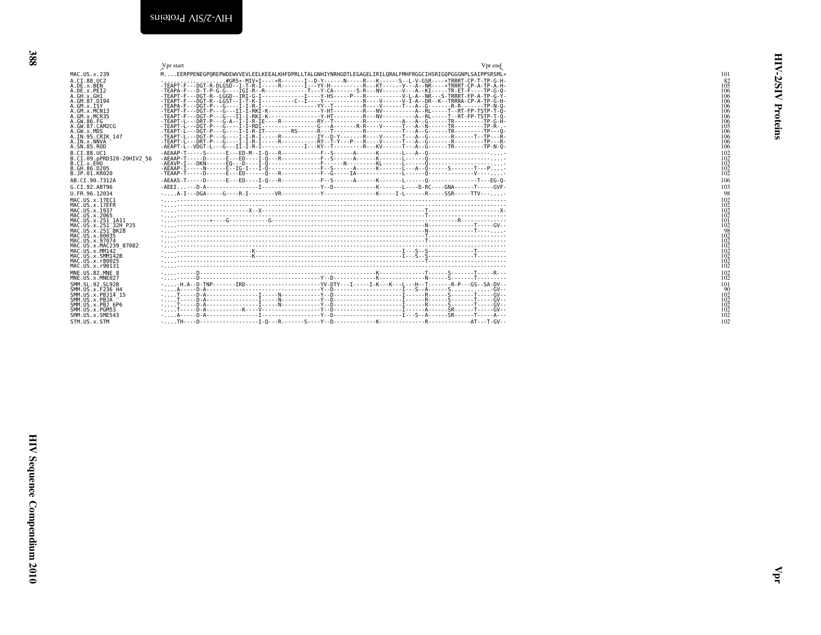<span id="page-19-1"></span><span id="page-19-0"></span>

|                                                                                                                                                                                                                                   | Vpr end<br>Vpr start                                                                                                                                                                                                                                                                                                                                                                                                                                                                                                                                                                                                                                                                                                                                                                                                                                                                                                                                                                                                                                                                                                                                                                                                                                                                                                                                                                                                                                                                  |
|-----------------------------------------------------------------------------------------------------------------------------------------------------------------------------------------------------------------------------------|---------------------------------------------------------------------------------------------------------------------------------------------------------------------------------------------------------------------------------------------------------------------------------------------------------------------------------------------------------------------------------------------------------------------------------------------------------------------------------------------------------------------------------------------------------------------------------------------------------------------------------------------------------------------------------------------------------------------------------------------------------------------------------------------------------------------------------------------------------------------------------------------------------------------------------------------------------------------------------------------------------------------------------------------------------------------------------------------------------------------------------------------------------------------------------------------------------------------------------------------------------------------------------------------------------------------------------------------------------------------------------------------------------------------------------------------------------------------------------------|
| MAC. U.S. x. 239                                                                                                                                                                                                                  | MEERPPENEGPOREPWDEWVVEVLEELKEEALKHFDPRLLTALGNHIYNRHGDTLEGAGELIRILORALFMHFRGGCIHSRIGOPGGGNPLSAIPPSRSML*                                                                                                                                                                                                                                                                                                                                                                                                                                                                                                                                                                                                                                                                                                                                                                                                                                                                                                                                                                                                                                                                                                                                                                                                                                                                                                                                                                                |
| A.CI.88.UC2<br>A.DE.x.BEN<br>A.DE.x.PET2<br>A.GH.x.GH1<br>A.GM.87.D194<br>A.GM.X.ISY<br>A.GM.x.MCN13<br>A.GM.x.MCR35<br>A.GW.86.FG<br>A.GW.87.CAM2CG<br>A.GW.x.MDS<br>A.IN.95.CRIK 147<br>A.IN.x.NNVA<br>A. SN. 85. ROD           | .#GRS*-MIV*I----*R-------I--D-Y------N-----R---K-----S--L-V-GSR----*TRRRT-CP-T-TP-G-H-<br>-TEAPT-F---DGT-R-DLGSD--I-T-R-I-----R-------I---YY-H-----------R---KT------V---A--NR-----*TRRRT-CP-A-TP-A-H-<br>$-TEAPA - F - D - T - P - G - G - - - T = 0$<br>-TEAPT-F---DGT-R--LGGD--IRI-G-I------------I----Y-HS-----P---R------------V-L-A--NR---S-TRRRT-FP-A-TP-G-Y-<br>-TEAPT-F---DGT-R--LGST--I-T-K-I----------C--I----Y----------------R----V-------V-I-A--DR--K--TRRRA-CP-A-TP-G-H<br>$-TEAPA - F - - \overline{DGT} - P - - \overline{G} - \cdots - \overline{I} - I - R - \overline{I} - \cdots - \cdots - \overline{S} - \cdots - \overline{S} - \cdots - \overline{S} - \cdots - \overline{S} - \cdots - \overline{S} - \cdots - \overline{S} - R - \cdots - \overline{S} - \overline{S} - \cdots - \overline{S} - \overline{S} - \cdots - \overline{S} - \overline{S} - \cdots - \overline{S} - \overline{S} - \cdots - \overline{S} - \overline{S} - \cdots - \overline{S} -$<br>-TEAPT-F---DGT-P---G---II-I-RKI-K---------------Y-HT----------R---NV-----------A--RL-----T--RT-FP-TSTP-T-0-<br>-TEAPT-F---DGT-P---G---II-I-RKI-K-----------------Y-HT-----------R---NV----------A--RI------T--RT-FP-TSTP-T-0-<br>$-1$ $FAP$ $i-1-1$ $DRT$ $-1-1$ $F-1-1$ $-1$ $F-1$ $F-1$ $F-1$ $F-2$ $F-2$ $F-1$ $F-2$ $F-1$ $F-3$ $F-4$ $F-4$ $F-4$ $F-5$ $F-1$<br>$-$ AEAPT-L--VDGT-L---G---IT-T-R-T---------------I---KY--T------------R---KV------T---A--G--------TR----------TP-N-0- |
| B.CT.88.UC1<br>B.CI.09.pPRD320-20HIV2 56<br>B.CI.x.EHO<br>B. GH. 86. D205<br>B.JP.01.KR020                                                                                                                                        | -AEAAP-I------N------E--IG-I---I-0----------------F--S------A------K-------L---A--0------S-------T---P-                                                                                                                                                                                                                                                                                                                                                                                                                                                                                                                                                                                                                                                                                                                                                                                                                                                                                                                                                                                                                                                                                                                                                                                                                                                                                                                                                                               |
| AB.CT.90.7312A                                                                                                                                                                                                                    |                                                                                                                                                                                                                                                                                                                                                                                                                                                                                                                                                                                                                                                                                                                                                                                                                                                                                                                                                                                                                                                                                                                                                                                                                                                                                                                                                                                                                                                                                       |
| G.CT.92.ABT96                                                                                                                                                                                                                     |                                                                                                                                                                                                                                                                                                                                                                                                                                                                                                                                                                                                                                                                                                                                                                                                                                                                                                                                                                                                                                                                                                                                                                                                                                                                                                                                                                                                                                                                                       |
| U.FR.96.12034                                                                                                                                                                                                                     | $\ldots$ . $A - I - - DGA - \ldots$ $G - - - R - I - \ldots$ $VR - \ldots$ $\ldots$ $\ldots$ $Y - \ldots$ $\ldots$ $\ldots$ $K - \ldots$ $K - \ldots$ $I - I - \ldots$ $\ldots$ $SSR - \ldots$ $\ldots$ $\ldots$ $\ldots$                                                                                                                                                                                                                                                                                                                                                                                                                                                                                                                                                                                                                                                                                                                                                                                                                                                                                                                                                                                                                                                                                                                                                                                                                                                             |
| MAC. US. x. 17EC1<br>MAC.US.x.17EFR<br>MAC. US. x. 1937<br>MAC. US. x. 2065<br>MAC.US.x.251 1A11<br>MAC. US. x. 251 <sup>-32H</sup> P.15<br>MAC. U.S. x. 251 BK28<br>MAC.US.x.80035<br>MAC. US. x. 97074<br>MAC.US.x.MAC239 87082 |                                                                                                                                                                                                                                                                                                                                                                                                                                                                                                                                                                                                                                                                                                                                                                                                                                                                                                                                                                                                                                                                                                                                                                                                                                                                                                                                                                                                                                                                                       |
| MAC. US. x. MM142                                                                                                                                                                                                                 |                                                                                                                                                                                                                                                                                                                                                                                                                                                                                                                                                                                                                                                                                                                                                                                                                                                                                                                                                                                                                                                                                                                                                                                                                                                                                                                                                                                                                                                                                       |
| MAC.US.x.SMM142B<br>MAC. US. x. r80025<br>MAC.US.x.r90131                                                                                                                                                                         |                                                                                                                                                                                                                                                                                                                                                                                                                                                                                                                                                                                                                                                                                                                                                                                                                                                                                                                                                                                                                                                                                                                                                                                                                                                                                                                                                                                                                                                                                       |
| MNE.US.82.MNE 8<br>MNE.US.x.MNE027                                                                                                                                                                                                |                                                                                                                                                                                                                                                                                                                                                                                                                                                                                                                                                                                                                                                                                                                                                                                                                                                                                                                                                                                                                                                                                                                                                                                                                                                                                                                                                                                                                                                                                       |
| SMM. SL. 92. SL92B<br>SMM. U.S. x. F236 H4<br>SMM.US.x.PBJ14 15<br>SMM.US.x.PBJA<br>SMM.US.x.PBJ 6P6<br>SMM.US.x.PGM53<br>SMM.US.x.SME543<br>STM.US.x.STM                                                                         | $\frac{1}{2}$ . The construction of the state of the construction of the state of the state of the state of $\frac{1}{2}$                                                                                                                                                                                                                                                                                                                                                                                                                                                                                                                                                                                                                                                                                                                                                                                                                                                                                                                                                                                                                                                                                                                                                                                                                                                                                                                                                             |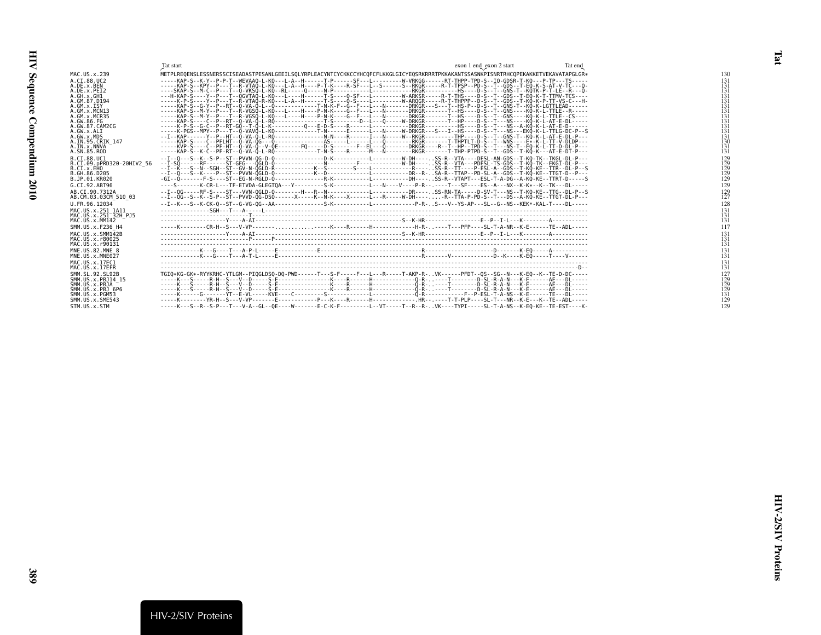<span id="page-20-1"></span><span id="page-20-0"></span>

|                                                                                                                                                                            | Tat start                                                                                                                                                                                                                                                                                                                                                                                                                                                                                                                                                                                                                                                                                                                                                                                                                                                                                                                                                                                                                                                                                                                                                                                                                                                                                                                                      | exon 1 end exon 2 start | Tat end |                                                                           |
|----------------------------------------------------------------------------------------------------------------------------------------------------------------------------|------------------------------------------------------------------------------------------------------------------------------------------------------------------------------------------------------------------------------------------------------------------------------------------------------------------------------------------------------------------------------------------------------------------------------------------------------------------------------------------------------------------------------------------------------------------------------------------------------------------------------------------------------------------------------------------------------------------------------------------------------------------------------------------------------------------------------------------------------------------------------------------------------------------------------------------------------------------------------------------------------------------------------------------------------------------------------------------------------------------------------------------------------------------------------------------------------------------------------------------------------------------------------------------------------------------------------------------------|-------------------------|---------|---------------------------------------------------------------------------|
|                                                                                                                                                                            |                                                                                                                                                                                                                                                                                                                                                                                                                                                                                                                                                                                                                                                                                                                                                                                                                                                                                                                                                                                                                                                                                                                                                                                                                                                                                                                                                |                         |         |                                                                           |
| MAC.US.x.239<br>A.CI.88.UC2<br>A.DE.x.BEN<br>A.DE.x.PET2<br>A.GH.X.GH1<br>A. GM. 87. D194<br>A.GM.X.ISY<br>A.GM.x.MCN13<br>A.GM.x.MCR35<br>A.GW.86.FG<br>A. GW. 87. CAM2CG | METPLREQENSLESSNERSSCISEADASTPESANLGEEILSQLYRPLEACYNTCYCKKCCYHCQFCFLKKGLGICYEQSRKRRRTPKKAKANTSSASNKPISNRTRHCQPEKAKKETVEKAVATAPGLGR*<br>-----KAP-S--K-Y--P-P-T--WEVAAO-L-KO---L-A--H------T-P------SF---L---------W-VRKGG------RT-THPP-TPD-S--IO-GDSR-T-KO---P-TP---TS-----<br>-----KAP-S--KPY--P--T--R-VTAO-L-KO---L-A--H----P-T-K----R-SF---L--S------S--RKGR-----R-T-TPSP--PD-S--T--GDS--T-EO-K-S-AT-V-TC---O-<br>---H-KAP-S----Y--P---T--QGVTAQ-L-KQ---L----H------T-S----Q-SF---L---------W-ARKSR-----R-T-THS----D-S--T--GDS--T-EQ-K-T-TTMV-TCS----<br>--T--R-VTAO-R-KO---L-A--H------T-S----O-S----L---------W-AROGR-----R-T-THPPP--D-S--T--GDS--T-KO-K-P-TT-VS-C---H<br>-----KAP-S--G-Y--P--RT--Q-VA-Q-L--Q-------------T-N-K-F--G--F---L---N-------DRKGR---S--T--HS-P--D-S--T--GNS-T--KQ-K-LGTTLEAD------<br>-S--M-Y--P---T--R-VGSO-L-KO---L----H----P-N-K----G--F---L---N-------DRKGR-------T--HS----D-S--T--GNS----KO-K-L-TTLE--R-----<br>-Š--M-Y--P---T--R-VGŠÔ-L-KÔ---L----H----P-N-K----G--F---L---N-------DRKGR-------T--HŠ----D-Š--T--GNŠ----KÔ-K-L-TTLE--CS----<br>----C--P--RT--O-VA-Ö-L-RÔ---------------T-S--------D--L---O-----W-DRKGR-------T--HP----D-Š--T---NŠ----KÔ-K-L-AT-E-DL-----<br>-----K-PGS--MPY--P---T--Q-VAVQ-L-KO----------------F-N-----E------L---N-DRKGR---S---I--HS----D-S--T---NS---EKQ-K-L-TTLG-DC-P--S |                         |         | 130<br>131<br>131<br>131<br>131<br>131<br>131<br>131<br>131<br>131<br>131 |
| A.GW.x.ALI<br>A.GW.x.MDS<br>A.IN.95.CRIK 147<br>A.IN.x.NNVA<br>A.SN.85.ROD                                                                                                 | --I--KAP------Y--P--HT--Q-VA-Q-L-RQ---------------N-N----R------I---N----RK-GR---------THP----D-S--T--GNS-T--KQ-K-L-AT-E-DL-P---<br>-----KVP-S----C--PF-HT--O-VA-O--V-OE-------FO-----D-S-------F--EL---O-------DRKGR----R--T--HP--TPD-S--T---NS-T--EO-K-L-TT-D-DL-P---<br>-----KAP-S--K-C--PF-RT--0-VA-0-L-RO-------------T-N-S----R-------M---N--------RKGR-------T-THP-PTPD-S--T--GDS--T-KO-K---AT-E-DT-P---                                                                                                                                                                                                                                                                                                                                                                                                                                                                                                                                                                                                                                                                                                                                                                                                                                                                                                                                |                         |         | 131<br>131<br>130<br>131<br>131                                           |
| B.CI.88.UC1<br>B.CI.09.pPRD320-20HIV2 56<br>B.CI.X.EHO<br>B.GH.86.D205<br>B.JP.01.KR020                                                                                    | --I--O---S--K--S-P--ST--PVVN-OG-D-O-------------D-K----------L---------W-DH----SS-R--VTA----DESL-AN-GDS--T-KO-TK--TKGL-DL-P---<br>$-1 - 50 -$<br>--I--O---S--K----P--ST--PVVN-OGLD-O------------K--D------------L---------DR--R-SA-R--TTAP--PD-SL-A--GDS--T-KO-KE--TTGT-D--P---                                                                                                                                                                                                                                                                                                                                                                                                                                                                                                                                                                                                                                                                                                                                                                                                                                                                                                                                                                                                                                                                |                         |         | $^{129}_{129}$<br>129<br>129<br>129                                       |
| G.CT.92.ABT96                                                                                                                                                              | ----S-------K-CR-L---TF-ETVDA-GLEGTOA---Y---------S-K----------L---N----V----P-R-- .---T---SF----ES--A---NX--K-K*--K--TK---DL-----                                                                                                                                                                                                                                                                                                                                                                                                                                                                                                                                                                                                                                                                                                                                                                                                                                                                                                                                                                                                                                                                                                                                                                                                             |                         |         | 129                                                                       |
| AB.CI.90.7312A<br>AB.CM.03.03CM 510 03                                                                                                                                     | --I--0G-----RF-S----ST---VVN-0GLD-0--------H---R--N------------L---------DR----.SS-RN-TA-----D-SV-T---NS--T-KO-KE--TTG--DL-P--S<br>--I--QG--S--K--S-P--ST--PVVD-QG-DSQ------X-----K--N-K----X-----L---R-----W-DH----R-TTA-P-PD-S--T---DS--A-KQ-KE--TTGT-DL-P---                                                                                                                                                                                                                                                                                                                                                                                                                                                                                                                                                                                                                                                                                                                                                                                                                                                                                                                                                                                                                                                                                |                         |         | $^{129}_{127}$                                                            |
| U.FR.96.12034                                                                                                                                                              |                                                                                                                                                                                                                                                                                                                                                                                                                                                                                                                                                                                                                                                                                                                                                                                                                                                                                                                                                                                                                                                                                                                                                                                                                                                                                                                                                |                         |         | 128                                                                       |
| MAC. US. x. 251 1A11<br>MAC.US.x.251 32H PJ5<br>MAC. US. x. MM142                                                                                                          |                                                                                                                                                                                                                                                                                                                                                                                                                                                                                                                                                                                                                                                                                                                                                                                                                                                                                                                                                                                                                                                                                                                                                                                                                                                                                                                                                |                         |         | 131<br>131<br>131                                                         |
| SMM. US. x. F236 H4                                                                                                                                                        |                                                                                                                                                                                                                                                                                                                                                                                                                                                                                                                                                                                                                                                                                                                                                                                                                                                                                                                                                                                                                                                                                                                                                                                                                                                                                                                                                |                         |         | 117                                                                       |
| MAC.US.x.SMM142B<br>MAC.US.x.r80025<br>MAC.US.x.r90131                                                                                                                     |                                                                                                                                                                                                                                                                                                                                                                                                                                                                                                                                                                                                                                                                                                                                                                                                                                                                                                                                                                                                                                                                                                                                                                                                                                                                                                                                                |                         |         | 131<br>131<br>131                                                         |
| MNE.US.82.MNE 8<br>MNE.US.x.MNE027                                                                                                                                         |                                                                                                                                                                                                                                                                                                                                                                                                                                                                                                                                                                                                                                                                                                                                                                                                                                                                                                                                                                                                                                                                                                                                                                                                                                                                                                                                                |                         |         | $\frac{131}{131}$                                                         |
| MAC.US.x.17EC1<br>MAC.US.x.17EFR                                                                                                                                           |                                                                                                                                                                                                                                                                                                                                                                                                                                                                                                                                                                                                                                                                                                                                                                                                                                                                                                                                                                                                                                                                                                                                                                                                                                                                                                                                                |                         |         | 131<br>131                                                                |
| SMM.SL.92.SL92B<br>SMM. US. x. PBJ14 15<br>SMM.US.x.PBJA<br>SMM.US.x.PBJ 6P6<br>SMM.US.x.PGM53<br>SMM. US. x. SME543                                                       | TGI0*KG-GK*-RYYKRHC-YTLGM--PIOGLDS0-D0-PWD------T---S-F----F---L---R-----T-AKP-R-VK------PFDT--OS--SG--N---K-EO--K--TE-D-DC-----                                                                                                                                                                                                                                                                                                                                                                                                                                                                                                                                                                                                                                                                                                                                                                                                                                                                                                                                                                                                                                                                                                                                                                                                               |                         |         | 127<br>129<br>129<br>129<br>131<br>129                                    |
| STM.US.x.STM                                                                                                                                                               | -----K---S--R--S-P---T---V-A--GL--OE----W--------E-C-K-F---------L--VT-----T--R--.R-VK----TYPI-----SL-T-A-NS--K-EO-KE--TE-EST----K-                                                                                                                                                                                                                                                                                                                                                                                                                                                                                                                                                                                                                                                                                                                                                                                                                                                                                                                                                                                                                                                                                                                                                                                                            |                         |         | 129                                                                       |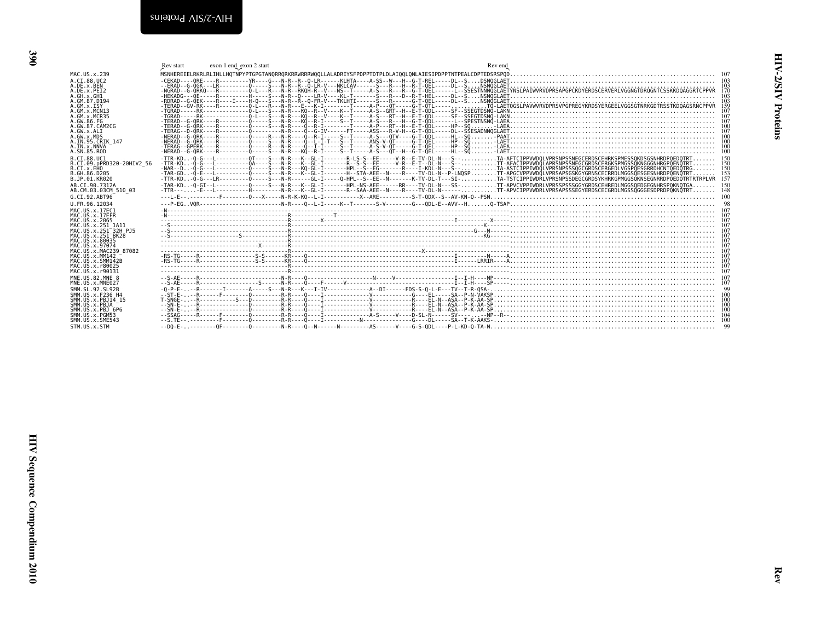<span id="page-21-1"></span><span id="page-21-0"></span>

|                                          | Rev start | exon 1 end_exon 2 start | Rev end                                                                                                                                                                     |                                                  |
|------------------------------------------|-----------|-------------------------|-----------------------------------------------------------------------------------------------------------------------------------------------------------------------------|--------------------------------------------------|
| MAC. U.S. x. 239                         |           |                         |                                                                                                                                                                             |                                                  |
| A.CT.88.UC2                              |           |                         |                                                                                                                                                                             |                                                  |
| A.DE.x.BEN                               |           |                         |                                                                                                                                                                             | 103                                              |
| A.DE.x.PEI2                              |           |                         | -NGRAD--G-ORKO--FR-----------------A-L---R--RNOH-R--V---NS--T-----A-S---R--G-T-OEL---------SSESTNNNÖGLAETYNSLPAIWRVDPRSAPGPCKDYERDSCERVERLVGGNGTDROGNTCSSKKDDAGGRTCPPVR 170 |                                                  |
| A.GH.x.GH1<br>A.GM.87.D194               |           |                         |                                                                                                                                                                             | $\begin{array}{c} 103 \\ 103 \\ 159 \end{array}$ |
| A.GM.X.ISY                               |           |                         |                                                                                                                                                                             |                                                  |
| A.GM.x.MCN13                             |           |                         |                                                                                                                                                                             | 107                                              |
| A.GM.x.MCR35                             |           |                         |                                                                                                                                                                             |                                                  |
| A.GW.86.FG                               |           |                         |                                                                                                                                                                             | 107                                              |
| A.GW.87.CAM2CG<br>A.GW.x.ALI             |           |                         |                                                                                                                                                                             |                                                  |
| A.GW.x.MDS                               |           |                         |                                                                                                                                                                             |                                                  |
| A.IN.95.CRIK 147                         |           |                         |                                                                                                                                                                             |                                                  |
| A.IN.x.NNVA                              |           |                         |                                                                                                                                                                             |                                                  |
| A.SN.85.ROD                              |           |                         |                                                                                                                                                                             |                                                  |
| B.CT.88.UC1                              |           |                         |                                                                                                                                                                             |                                                  |
| B.CI.09.pPRD320-20HIV2 56<br>B.CI.X.EHO  |           |                         |                                                                                                                                                                             | 150                                              |
| B. GH. 86. D205                          |           |                         |                                                                                                                                                                             |                                                  |
| B.JP.01.KR020                            |           |                         |                                                                                                                                                                             | $\frac{153}{157}$                                |
| AB.CI.90.7312A                           |           |                         |                                                                                                                                                                             |                                                  |
| AB.CM.03.03CM 510 03                     |           |                         |                                                                                                                                                                             |                                                  |
| G.CT.92.ABT96                            |           |                         |                                                                                                                                                                             | 100                                              |
| U.FR.96.12034                            |           |                         |                                                                                                                                                                             |                                                  |
| MAC. US. x. 17EC1                        |           |                         |                                                                                                                                                                             |                                                  |
| MAC.US.x.17EFR                           |           |                         |                                                                                                                                                                             |                                                  |
| MAC. US. x. 2065<br>MAC.US.x.251 1A11    |           |                         |                                                                                                                                                                             |                                                  |
| MAC.US.x.251 32H PJ5                     |           |                         |                                                                                                                                                                             |                                                  |
| MAC.US.x.251 BK28                        |           |                         |                                                                                                                                                                             |                                                  |
| MAC.US.x.80035                           |           |                         |                                                                                                                                                                             |                                                  |
| MAC.US.x.97074                           |           |                         |                                                                                                                                                                             |                                                  |
| MAC.US.x.MAC239 87082<br>MAC.US.x.MM142  |           |                         |                                                                                                                                                                             |                                                  |
| MAC.US.x.SMM142B                         |           |                         | $-85.76R$                                                                                                                                                                   |                                                  |
| MAC.US.x.r80025                          |           |                         |                                                                                                                                                                             |                                                  |
| MAC.US.x.r90131                          |           |                         |                                                                                                                                                                             |                                                  |
| MNE.US.82.MNE 8                          |           |                         |                                                                                                                                                                             |                                                  |
| MNE.US.x.MNE027                          |           |                         |                                                                                                                                                                             |                                                  |
| SMM. SL. 92. SL92B                       |           |                         |                                                                                                                                                                             |                                                  |
| SMM.US.x.F236 H4<br>SMM. US. x. PBJ14 15 |           |                         |                                                                                                                                                                             |                                                  |
| SMM.US.x.PBJA                            |           |                         |                                                                                                                                                                             |                                                  |
| SMM.US.x.PBJ 6P6                         |           |                         |                                                                                                                                                                             |                                                  |
| SMM. U.S. x. PGM53                       |           |                         |                                                                                                                                                                             |                                                  |
| SMM.US.x.SME543                          |           |                         |                                                                                                                                                                             |                                                  |
| STM.US.x.STM                             |           |                         |                                                                                                                                                                             |                                                  |

Rev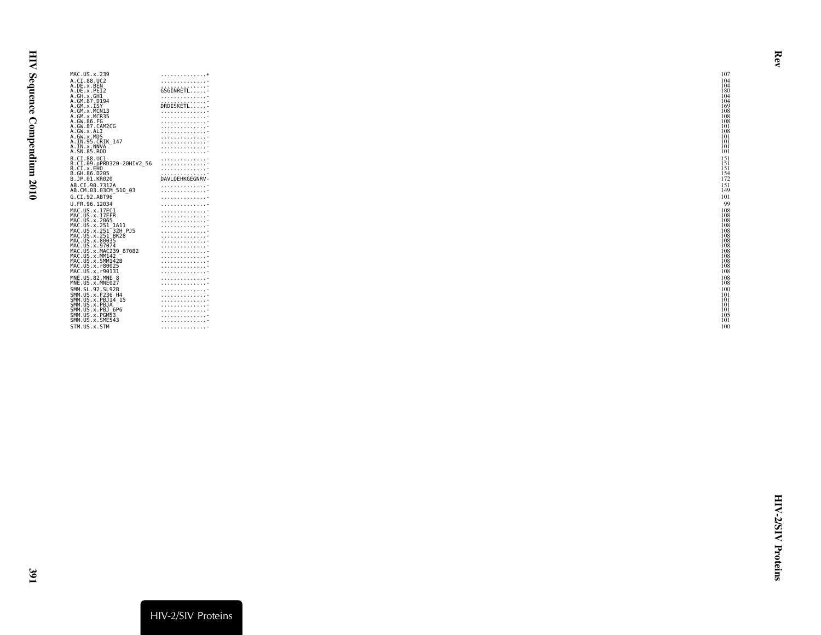| MAC.US.x.239                                           | . *                 | 107                             |
|--------------------------------------------------------|---------------------|---------------------------------|
| A.CI.88.UC2                                            | . <del>.</del>      | 104                             |
| A.DE.x.BEN                                             | .                   | $\frac{104}{180}$               |
| A.DE.x.PEI2                                            | GSGINRETL           |                                 |
| A.GH.x.GH1                                             | .                   | 104                             |
| A.GM.87.D194<br>A.GM.x.ISY                             | .<br>DRDISKETL      | 104<br>169                      |
| A.GM.x.MCN13                                           | .                   | 108                             |
| A.GM.x.MCR35                                           | .                   |                                 |
| A.GW.86.FG                                             | . <del>.</del>      | 108<br>108                      |
| A.GW.87.CAM2CG                                         | .                   | 101                             |
| A.GW.x.ALI                                             | .                   | 108                             |
| A.GW.x.MDS                                             | .                   | 101                             |
| A.IN.95.CRIK 147                                       | . <del>.</del>      | 101                             |
| A.IN.x.NNVA<br>A.SN.85.ROD                             | . <del>.</del>      | 101<br>101                      |
|                                                        | .                   |                                 |
| B.CI.88.UC1<br>B.CI.09.pPRD320-20HIV2 56               | .                   |                                 |
| B.CI.x.EHO                                             | .                   |                                 |
| B.GH.86.D205                                           | .<br>.              |                                 |
| B.JP.01.KR020                                          | DAVLQEHKGEGNRV-     | 151<br>151<br>151<br>154<br>172 |
| AB.CI.90.7312A                                         | .                   | $\frac{151}{149}$               |
| AB.CM.03.03CM 510 03                                   | .                   |                                 |
| G.CI.92.ABT96                                          | . <del>.</del>      | 101                             |
| U.FR.96.12034                                          | . <del>.</del>      | 99                              |
| MAC.US.x.17EC1                                         | . <del>.</del>      | 108<br>108                      |
| MAC.US.x.17EFR                                         | . <del>.</del>      |                                 |
| MAC.US.x.2065                                          | .                   | 108                             |
| MAC.US.x.251 1A11<br>MAC.US.x.251 <sup>-</sup> 32H PJ5 | .<br>. <del>.</del> | 108<br>108                      |
| MAC.US.x.251 <sup>-</sup> BK28                         | .                   |                                 |
| MAC.US.x.80035                                         | .                   | 108<br>108<br>108               |
| MAC.US.x.97074                                         | . <del>.</del>      |                                 |
| MAC.US.x.MAC239 87082                                  | .                   | 108<br>108                      |
| MAC.US.x.MM142                                         | .                   |                                 |
| MAC.US.x.SMM142B<br>MAC.US.x.r80025                    | .                   | 108                             |
| MAC.US.x.r90131                                        | . <del>.</del>      | $\frac{108}{108}$               |
| MNE.US.82.MNE 8                                        | . <del>.</del>      |                                 |
| MNE.US.x.MNE027                                        | . 7<br>.            | 108<br>108                      |
| SMM.SL.92.SL92B                                        |                     | 100                             |
| SMM.US.x.F236 H4                                       | .                   | 101                             |
| SMM.US.x.PBJ14 15                                      | . <del>.</del><br>. | 101                             |
| SMM.US.x.PBJA                                          | .                   | 101                             |
| SMM.US.x.PBJ 6P6                                       | .                   | 101                             |
| SMM.US.x.PGM53                                         | .                   | 105                             |
| SMM.US.x.SME543                                        | . <del>.</del>      | 101                             |
| STM.US.x.STM                                           | . <del>.</del>      | 100                             |
|                                                        |                     |                                 |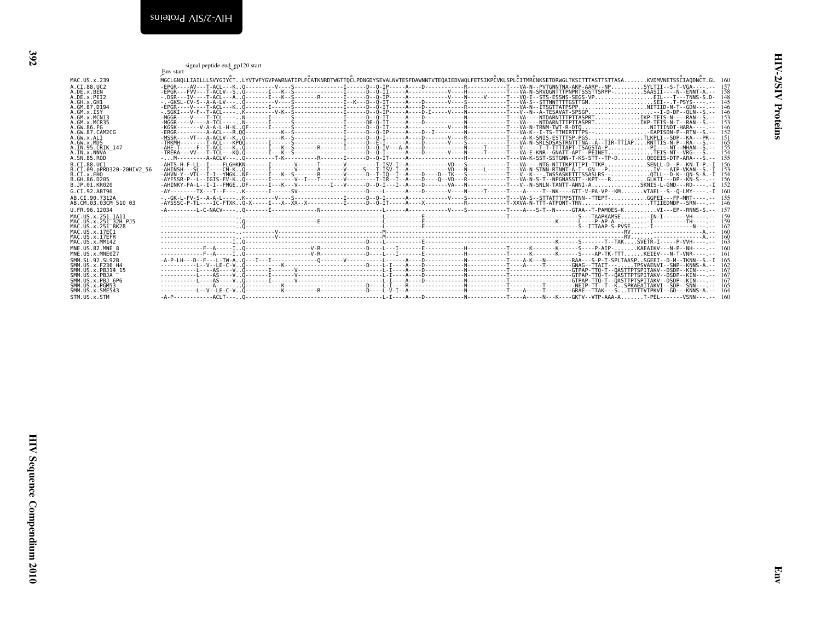<span id="page-23-1"></span><span id="page-23-0"></span>

| A.DE.x.BEN<br>A.DE.x.PEI2                                                                                                                                             |  |  | ,<br>MGCLGNQLLIAILLLSVYGIYČTLYVTVFYGVPAWRNATIPLFČATKNRDTWGTTQČLPDNGDYSEVALNVTESFDAWNNTVTEQAIEDVWQLFETSIKPČVKLSPLČITMRČNKSETDRWGLTKSITTTASTTSTTASAKVDMVNETSSČIAQDNČT.GL 160                                                                                                                                                                                                                                                                                                 | 158<br>148                                    |
|-----------------------------------------------------------------------------------------------------------------------------------------------------------------------|--|--|----------------------------------------------------------------------------------------------------------------------------------------------------------------------------------------------------------------------------------------------------------------------------------------------------------------------------------------------------------------------------------------------------------------------------------------------------------------------------|-----------------------------------------------|
| A.GH.x.GH1<br>A.GM.87.D194<br>A.GM.x.ISY<br>A.GM.x.MCN13<br><br>A.GM.x.MCR35<br>A.GW.86.FG                                                                            |  |  |                                                                                                                                                                                                                                                                                                                                                                                                                                                                            | 145<br>146<br>$\frac{146}{153}$<br>153        |
| A.GW.87.CAM2CG<br>.GW.x.ALI<br>.GW. x.MDS<br>A.IN.95.CRIK 147                                                                                                         |  |  | ${\begin{bmatrix} \mathbf{R}^{(0)} \mathbf{R}^{(1)} \mathbf{R}^{(2)} \mathbf{R}^{(3)} \mathbf{R}^{(4)} \mathbf{R}^{(5)} \mathbf{R}^{(6)} \mathbf{R}^{(6)} \mathbf{R}^{(7)} \mathbf{R}^{(8)} \mathbf{R}^{(8)} \mathbf{R}^{(8)} \mathbf{R}^{(8)} \mathbf{R}^{(8)} \mathbf{R}^{(8)} \mathbf{R}^{(8)} \mathbf{R}^{(8)} \mathbf{R}^{(8)} \mathbf{R}^{(8)} \mathbf{R}^{(8)} \mathbf{R}^{(8)} \mathbf{$                                                                           | $\frac{146}{152}$<br>$\frac{165}{155}$<br>155 |
| A.IN.x.NNVA<br>A.SN.85.ROD<br>B.CI.88.UC1<br>B.ČÍ.Ŏ9.pPRD320-20HIV2_56<br>B.CI.x.EHO                                                                                  |  |  |                                                                                                                                                                                                                                                                                                                                                                                                                                                                            | 155<br>156<br>154                             |
| B.GH.86.D205<br>B.JP.01.KR020<br>G.CI.92.ABT96<br>AB.CI.90.7312A                                                                                                      |  |  | -AY---------TX---T--F---K-------I------SV----------------------D----L------A----D-----V----N----T----T---A----T--NK----GTT-V-PA-VP--KMVTAEL--S--Q-LMY----.-I 160                                                                                                                                                                                                                                                                                                           | $\frac{156}{152}$                             |
| AB.CM.03.03CM_510_03<br>U.FR.96.12034<br>MAC.US.x.251_1A11<br>MAC.US.x.251_32H_PJ5<br>MAC.US.x.251_32H_PJ5<br>MAC.US.x.17EC1<br>MAC.US.x.17EC1                        |  |  |                                                                                                                                                                                                                                                                                                                                                                                                                                                                            |                                               |
| MAC.US.x.17EFR<br>MAC.US.x.MM142<br>MNE.US.82.MNE 8                                                                                                                   |  |  | $\begin{minipage}{0.5cm} \begin{minipage}{0.5cm} \begin{minipage}{0.5cm} \begin{minipage}{0.5cm} \begin{minipage}{0.5cm} \begin{minipage}{0.5cm} \begin{minipage}{0.5cm} \begin{minipage}{0.5cm} \begin{minipage}{0.5cm} \begin{minipage}{0.5cm} \end{minipage}\\ \hline \end{minipage}\\ \hline \end{minipage} \end{minipage} \end{minipage} \end{minipage} \end{minipage} \end{minipage} \begin{minipage}{0.5cm} \begin{minipage}{0.5cm} \begin{minipage}{0.5cm} \begin$ | 160                                           |
| MNE.US.x.MNE027<br>SMM.SL.92.SL92B                                                                                                                                    |  |  |                                                                                                                                                                                                                                                                                                                                                                                                                                                                            |                                               |
| SMM. US. x. F236 H4<br>SMM. US. x. PBJ14 15<br>SMM. US. x. PBJA –<br>SMM. US. x. PBJ 6P6<br>SMM. US. x. PGM53<br>SMM. US. x. PGM53<br>SMM.US.x.SME543<br>STM.US.x.STM |  |  |                                                                                                                                                                                                                                                                                                                                                                                                                                                                            |                                               |
|                                                                                                                                                                       |  |  |                                                                                                                                                                                                                                                                                                                                                                                                                                                                            |                                               |
|                                                                                                                                                                       |  |  |                                                                                                                                                                                                                                                                                                                                                                                                                                                                            |                                               |
|                                                                                                                                                                       |  |  |                                                                                                                                                                                                                                                                                                                                                                                                                                                                            |                                               |
|                                                                                                                                                                       |  |  |                                                                                                                                                                                                                                                                                                                                                                                                                                                                            |                                               |
|                                                                                                                                                                       |  |  |                                                                                                                                                                                                                                                                                                                                                                                                                                                                            |                                               |
|                                                                                                                                                                       |  |  |                                                                                                                                                                                                                                                                                                                                                                                                                                                                            |                                               |
|                                                                                                                                                                       |  |  |                                                                                                                                                                                                                                                                                                                                                                                                                                                                            |                                               |
|                                                                                                                                                                       |  |  |                                                                                                                                                                                                                                                                                                                                                                                                                                                                            |                                               |
|                                                                                                                                                                       |  |  |                                                                                                                                                                                                                                                                                                                                                                                                                                                                            |                                               |
|                                                                                                                                                                       |  |  |                                                                                                                                                                                                                                                                                                                                                                                                                                                                            |                                               |
|                                                                                                                                                                       |  |  |                                                                                                                                                                                                                                                                                                                                                                                                                                                                            |                                               |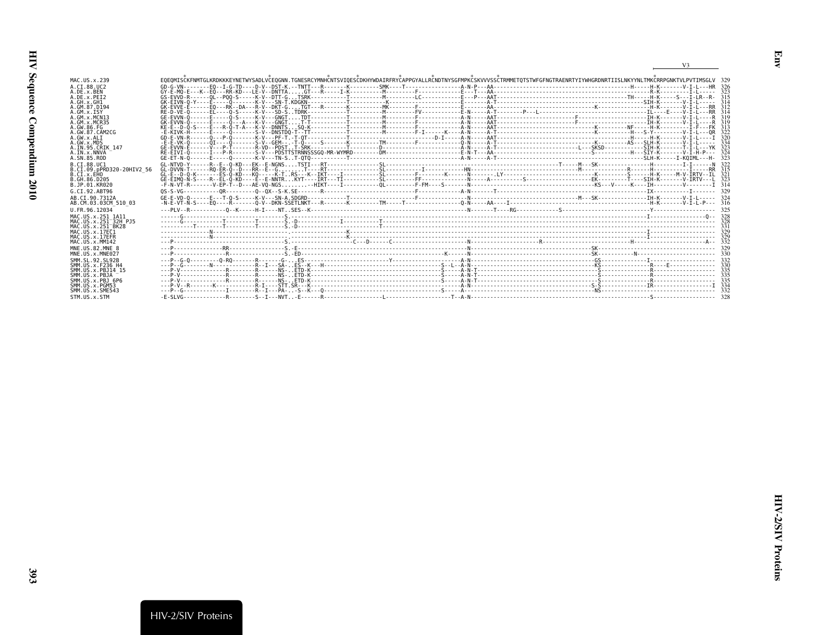|                                                                                                               |                                                                                                                                                                                | V <sub>3</sub> |
|---------------------------------------------------------------------------------------------------------------|--------------------------------------------------------------------------------------------------------------------------------------------------------------------------------|----------------|
| MAC. US. x. 239<br>A.CI.88.UC2                                                                                | EOEOMISCKENMTGLKRDKKKEYNETWYSADLVCEOGNN.TGNESRCYMNHCNTSVIOESCDKHYWDAIRFRYCAPPGYALLRCNDTNYSGEMPKCSKVVVSSCTRMMETOTSTWEGENGTRAENRTYIYWHGRDNRTIISLNKYYNLTMKCRRPGNKTVLPVTIMSGLV 329 |                |
| A.DE.X.BEN<br>A.DE.x.PET2<br>A.GH.x.GH1                                                                       |                                                                                                                                                                                | 314            |
| A.GM.87.D194<br>$A.GM.x.$ ISY                                                                                 |                                                                                                                                                                                |                |
| A.GM.x.MCN13<br>A.GM.x.MCR35<br>A.GW.86.FG                                                                    |                                                                                                                                                                                | 319            |
| A.GW.87.CAM2CG<br>A.GW.x.ALT<br>A.GW.x.MDS                                                                    | ERKIVK-HEILLEELLIOLIILLEEV-INKTNO-TETTILLEELLIOOTAILLEELLIOOTAILLEELLIOOTAINLEELLIOOTAITLEELLIOOTAITLEELLIOOTA                                                                 |                |
| A.IN.95.CRIK 147<br>A.IN.x.NNVA<br>A.SN.85.ROD                                                                |                                                                                                                                                                                |                |
| B.CI.88.UC1<br>B.CI.09.pPRD320-20HIV2 56<br>B.CI.X.EHO<br>B.GH.86.D205<br>B.JP.01.KR020                       |                                                                                                                                                                                |                |
| G.CT.92.ABT96                                                                                                 |                                                                                                                                                                                |                |
| AB.CI.90.7312A<br>AB.CM.03.03CM 510 03                                                                        |                                                                                                                                                                                |                |
| U.FR.96.12034                                                                                                 |                                                                                                                                                                                |                |
| MAC.US.x.251 1A11<br>MAC. US. x. 251 <sup>-32H</sup> P.15<br>MAC.US.x.251 <sup>-</sup> BK28<br>MAC.US.x.17EC1 |                                                                                                                                                                                |                |
| MAC.US.x.17EFR<br>MAC.US.x.MM142                                                                              |                                                                                                                                                                                |                |
| MNE.US.82.MNE 8<br>MNE.US.x.MNE027                                                                            |                                                                                                                                                                                |                |
| SMM. SL. 92. SL92B<br>SMM.US.x.F236 H4<br>SMM. U.S. x. PB. 114 15                                             |                                                                                                                                                                                |                |
| SMM.US.x.PBJA<br>SMM.US.x.PBJ 6P6<br>SMM.US.x.PGM53                                                           |                                                                                                                                                                                |                |
| SMM.US.x.SME543<br>STM.US.x.STM                                                                               |                                                                                                                                                                                |                |

<span id="page-24-0"></span>Env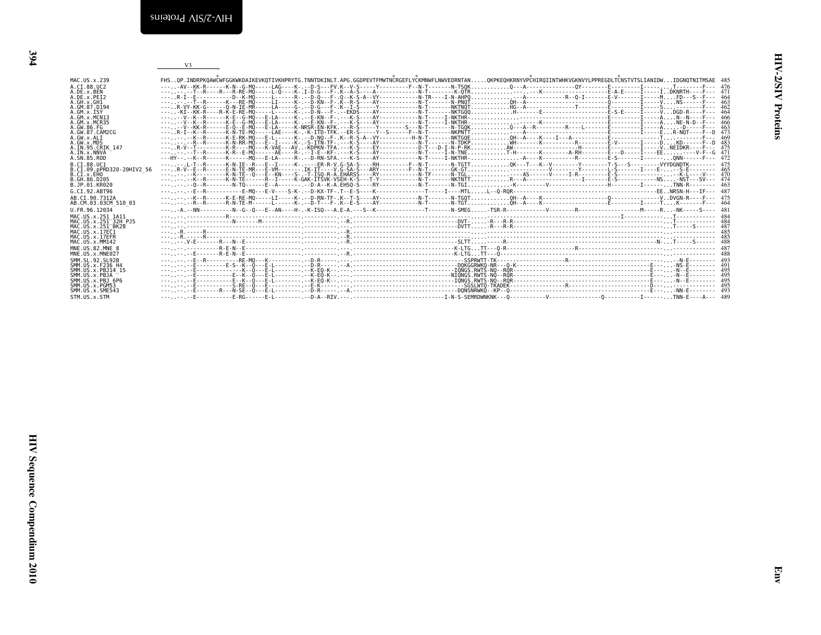|                                                             | V3                                                                                                                                                                   |  |
|-------------------------------------------------------------|----------------------------------------------------------------------------------------------------------------------------------------------------------------------|--|
|                                                             |                                                                                                                                                                      |  |
| MAC. U.S. x. 239                                            | FHSOP.INDRPKOAWCWFGGKWKDAIKEVKOTIVKHPRYTG.TNNTDKINLT.APG.GGDPEVTFMWTNCRGEFLYCKMNWFLNWVEDRNTANOKPKEOHKRNYVPCHIROIINTWHKVGKNVYLPPREGDLTCNSTVTSLIANIDWIDGNOTNITMSAE 485 |  |
| A.CI.88.UC2                                                 |                                                                                                                                                                      |  |
| A.DE.x.BEN                                                  |                                                                                                                                                                      |  |
| A.DE.x.PEI2                                                 | ---R-I--E-----------D--K-MO-----E-------R-I--D-O--F-.O--K-S-A--VY-----------N-TR----I-N-AHPO--A------------R--O-I--------E-V-------I------MFD---S--F--- 464          |  |
| A.GH.x.GH1                                                  |                                                                                                                                                                      |  |
| A.GM.87.D194                                                |                                                                                                                                                                      |  |
| A.GM.X.ISY<br>A.GM.X.MCN13                                  |                                                                                                                                                                      |  |
| A.GM.x.MCR35                                                |                                                                                                                                                                      |  |
| A.GW.86.FG                                                  |                                                                                                                                                                      |  |
| A.GW.87.CAM2CG                                              |                                                                                                                                                                      |  |
| A.GW.x.ALI                                                  |                                                                                                                                                                      |  |
| A.GW.x.MDS<br>A. IN. 95. CRIK 147                           |                                                                                                                                                                      |  |
| A.IN.x.NNVA                                                 | ------T--R------K-R--E-MQ------AE----R-.--I-E--KF-.---K-S----AY------------N-T-----I-N-TNET-H-------K--------A-RH-------E---D-----I----E---D----I-E-C 471            |  |
| A.SN.85.ROD                                                 |                                                                                                                                                                      |  |
| B.CT.88.UC1                                                 |                                                                                                                                                                      |  |
| B.CI.09.pPRD320-20HIV2 56                                   |                                                                                                                                                                      |  |
| B.CI.X.EHO                                                  | -----.-K---------K-N-TE--O---E--KN----S-.-T-ISO-R-A.EHARSS----RY------------N-TF------N-TGL---AS------V-----I-R----------E-S------------------K-L----V--- 470        |  |
| B. GH. 86. D205                                             |                                                                                                                                                                      |  |
| B.JP.01.KR020                                               |                                                                                                                                                                      |  |
| G.CI.92.ABT96                                               |                                                                                                                                                                      |  |
| AB.CI.90.7312A                                              |                                                                                                                                                                      |  |
| AB.CM.03.03CM 510 03                                        |                                                                                                                                                                      |  |
| U.FR.96.12034                                               |                                                                                                                                                                      |  |
| MAC.US.x.251 1A11                                           |                                                                                                                                                                      |  |
| MAC. U.S. x . 251 <sup>-32H</sup> P.15<br>MAC.US.x.251 BK28 |                                                                                                                                                                      |  |
| MAC.US.x.17EC1                                              |                                                                                                                                                                      |  |
| MAC.US.x.17EFR                                              |                                                                                                                                                                      |  |
| MAC.US.x.MM142                                              |                                                                                                                                                                      |  |
| MNE.US.82.MNE 8                                             |                                                                                                                                                                      |  |
| MNE.US.x.MNE027                                             |                                                                                                                                                                      |  |
| SMM. SL. 92. SL92B                                          |                                                                                                                                                                      |  |
| SMM.US.x.F236 H4                                            |                                                                                                                                                                      |  |
| SMM.US.x.PBJ14 15                                           |                                                                                                                                                                      |  |
| SMM.US.x.PBJA<br>SMM.US.x.PBJ 6P6                           |                                                                                                                                                                      |  |
| SMM.US.x.PGM53                                              |                                                                                                                                                                      |  |
| SMM.US.x.SME543                                             |                                                                                                                                                                      |  |
| STM.US.x.STM                                                |                                                                                                                                                                      |  |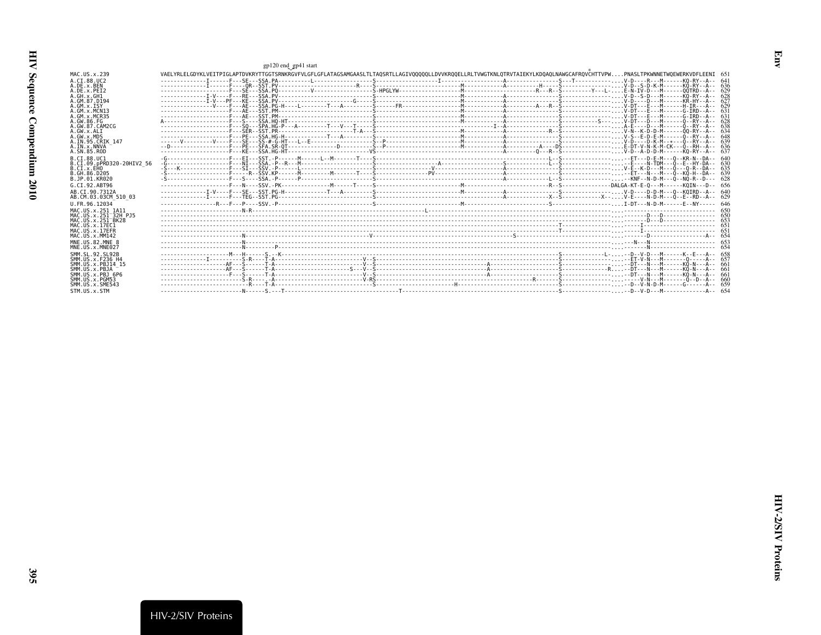<span id="page-26-0"></span>

|                                                     | gp120 end_gp41 start                                                                                                                                                       |  |      |
|-----------------------------------------------------|----------------------------------------------------------------------------------------------------------------------------------------------------------------------------|--|------|
| MAC.US.x.239                                        | VAELYRLELGDYKLVEITPIGLAPTDVKRYTTGGTSRNKRGVFVLGFLGFLATAGSAMGAASLTLTAOSRTLLAGIVOOOOOLLDVVKROOELLRLTVWGTKNLOTRVTAIEKYLKDOAOLNAWGCAFROVCHTTVPWPNASLTPKWNNETWOEWERKVDFLEENI 651 |  |      |
| A.CT.88.UC2                                         |                                                                                                                                                                            |  |      |
| A.DE.x.BEN                                          |                                                                                                                                                                            |  |      |
| A.DE.x.PEI2                                         |                                                                                                                                                                            |  |      |
| A.GH.x.GH1<br>A.GM.87.D194                          |                                                                                                                                                                            |  | -62  |
| $A.GM.x.$ ISY                                       |                                                                                                                                                                            |  |      |
| A.GM.x.MCN13                                        |                                                                                                                                                                            |  |      |
| A.GM.x.MCR35<br>A. GW. 86. FG                       |                                                                                                                                                                            |  |      |
| A. GW. 87. CAM2CG                                   |                                                                                                                                                                            |  |      |
| A.GW.x.ALT                                          |                                                                                                                                                                            |  | -634 |
| A.GW.x.MDS                                          |                                                                                                                                                                            |  |      |
| A.IN.95.CRIK 147<br>A. IN. x. NNVA                  |                                                                                                                                                                            |  |      |
| A.SN.85.ROD                                         |                                                                                                                                                                            |  | -637 |
| B.CI.88.UC1                                         |                                                                                                                                                                            |  |      |
| B.CI.09.pPRD320-20HIV2 56                           |                                                                                                                                                                            |  |      |
| B.CI.x.EHO                                          |                                                                                                                                                                            |  |      |
| B. GH. 86. D205<br>B.JP.01.KR020                    |                                                                                                                                                                            |  |      |
| G.CI.92.ABT96                                       |                                                                                                                                                                            |  |      |
| AB.CI.90.7312A                                      |                                                                                                                                                                            |  |      |
| AB.CM.03.03CM 510 03                                |                                                                                                                                                                            |  |      |
| U.FR.96.12034                                       |                                                                                                                                                                            |  |      |
| MAC. U.S. x. 251 1A11                               |                                                                                                                                                                            |  |      |
| MAC.US.x.251 32H PJ5                                |                                                                                                                                                                            |  |      |
| MAC.US.x.251 <sup>-</sup> BK28<br>MAC. US. x. 17EC1 |                                                                                                                                                                            |  |      |
| MAC.US.x.17EFR                                      |                                                                                                                                                                            |  |      |
| MAC.US.x.MM142                                      |                                                                                                                                                                            |  |      |
| MNE.US.82.MNE 8                                     |                                                                                                                                                                            |  |      |
| MNE.US.x.MNE027                                     |                                                                                                                                                                            |  |      |
| SMM. SL. 92. SL92B<br>SMM. U.S. x. F236 H4          |                                                                                                                                                                            |  |      |
| SMM.US.x.PBJ14 15                                   |                                                                                                                                                                            |  |      |
| SMM.US.x.PBJA                                       |                                                                                                                                                                            |  |      |
| SMM.US.x.PBJ 6P6                                    |                                                                                                                                                                            |  |      |
| SMM.US.x.PGM53<br>SMM. US. x. SME543                |                                                                                                                                                                            |  |      |
| STM.US.x.STM                                        |                                                                                                                                                                            |  |      |
|                                                     |                                                                                                                                                                            |  |      |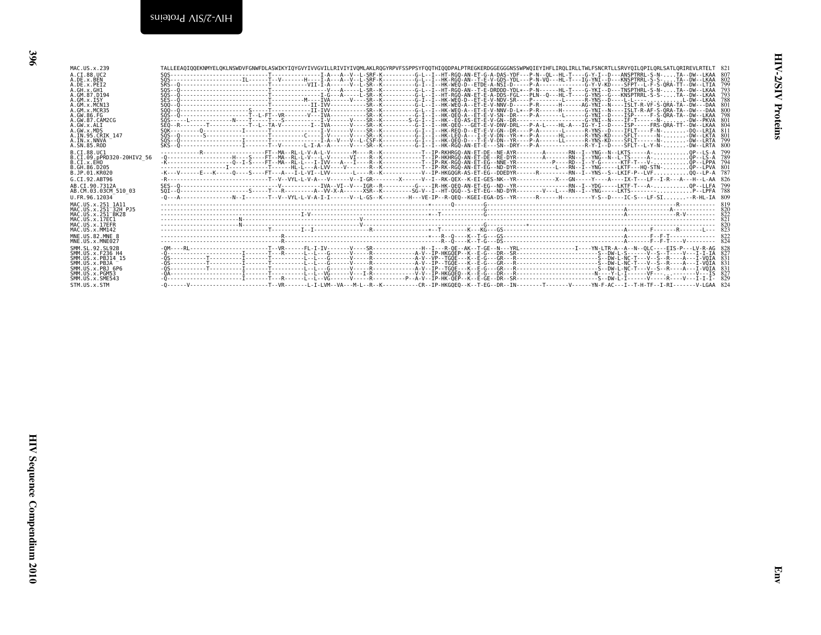| ۰.               |  |
|------------------|--|
| I<br>×<br>×<br>I |  |

| A.DE.x.PEI2<br>A.GH.X.GHI<br>A.GM.87.D194<br>A.GM.x.ISY<br>A.GM.x.ISY<br>A.GM.x.MCR35<br>A.GW.86.FG<br>A.GW.87.CAM2CG                                              | TALLER ATTENTION CONTRIBUTION CONTRIBUTION CONTRIBUTION CONTRIBUTION CONTRIBUTION CONTRIBUTION CONTRIBUTION CONTRIBUTION CONTRIBUTION CONTRIBUTION CONTRIBUTION CONTRIBUTION CONTRIBUTION CONTRIBUTION CONTRIBUTION CONTRIBUTI |  |  |  |  |  | 793<br>793<br>800<br>798  |  |
|--------------------------------------------------------------------------------------------------------------------------------------------------------------------|--------------------------------------------------------------------------------------------------------------------------------------------------------------------------------------------------------------------------------|--|--|--|--|--|---------------------------|--|
| A.GW.x.ALI<br>A.GW.x.MDS<br>A.IN.95.CRIK 147<br>A.IN.x.NNVA<br>A.SN.85.ROD<br>B.CI.88.UC1<br>B.CI.09.pPRD320-20HIV2_56                                             |                                                                                                                                                                                                                                |  |  |  |  |  | 799<br>-800<br>799<br>789 |  |
| B.CI.x.EHO<br>B.GH.86.D205<br>B.JP.01.KR020<br>G.CI.92.ABT96<br>AB.CI.90.7312A                                                                                     |                                                                                                                                                                                                                                |  |  |  |  |  | 794<br>826<br>799         |  |
| AB.CM.03.03CM 510 03<br>U.FR.96.12034<br>MAC.US.x.251 1A11<br>"AAC.US.x.251-32H-PJ5<br>MAC.US.x.251-8K28                                                           |                                                                                                                                                                                                                                |  |  |  |  |  | 788                       |  |
| MAC.US.x.17EC1<br>MAC.US.x.17EFR<br>MAC.US.x.MM142<br>MNE.US.82.MNE_8                                                                                              |                                                                                                                                                                                                                                |  |  |  |  |  |                           |  |
| MNE.US.x.MNE027<br>SMM.SL.92.SL92B<br>SMM.US.x.F236 H4<br>SMM.US.x.PBJ14_15<br>SMM.US.x.PBJA <sup>---</sup><br>SMM.US.x.PBJA<br>SMM.US.x.PBJ 6P6<br>SMM.US.x.PGM53 |                                                                                                                                                                                                                                |  |  |  |  |  |                           |  |
| SMM.US.x.SME543<br>STM.US.x.STM                                                                                                                                    |                                                                                                                                                                                                                                |  |  |  |  |  |                           |  |
|                                                                                                                                                                    |                                                                                                                                                                                                                                |  |  |  |  |  |                           |  |
|                                                                                                                                                                    |                                                                                                                                                                                                                                |  |  |  |  |  |                           |  |
|                                                                                                                                                                    |                                                                                                                                                                                                                                |  |  |  |  |  |                           |  |
|                                                                                                                                                                    |                                                                                                                                                                                                                                |  |  |  |  |  |                           |  |
|                                                                                                                                                                    |                                                                                                                                                                                                                                |  |  |  |  |  |                           |  |
|                                                                                                                                                                    |                                                                                                                                                                                                                                |  |  |  |  |  |                           |  |
|                                                                                                                                                                    |                                                                                                                                                                                                                                |  |  |  |  |  |                           |  |
|                                                                                                                                                                    |                                                                                                                                                                                                                                |  |  |  |  |  |                           |  |
|                                                                                                                                                                    |                                                                                                                                                                                                                                |  |  |  |  |  |                           |  |
|                                                                                                                                                                    |                                                                                                                                                                                                                                |  |  |  |  |  |                           |  |
|                                                                                                                                                                    |                                                                                                                                                                                                                                |  |  |  |  |  |                           |  |
|                                                                                                                                                                    |                                                                                                                                                                                                                                |  |  |  |  |  |                           |  |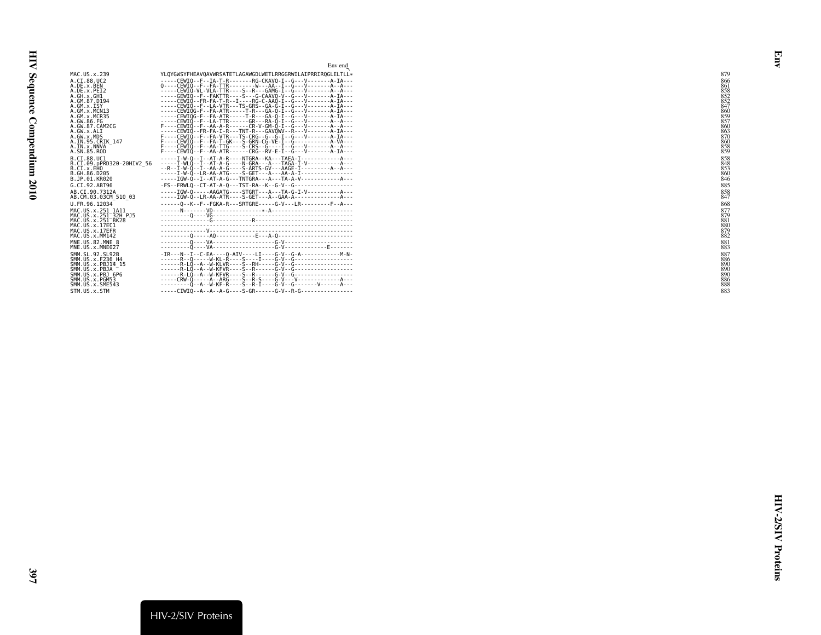|                                                                                                                                               | Env end                                                                                                                                                                                                                                                                                                                                                                                     |                                                      |
|-----------------------------------------------------------------------------------------------------------------------------------------------|---------------------------------------------------------------------------------------------------------------------------------------------------------------------------------------------------------------------------------------------------------------------------------------------------------------------------------------------------------------------------------------------|------------------------------------------------------|
| MAC.US.x.239                                                                                                                                  | YLOYGWSYFHEAVOAVWRSATETLAGAWGDLWETLRRGGRWILAIPRRIROGLELTLL*                                                                                                                                                                                                                                                                                                                                 | 879                                                  |
| A.CI.88.UC2<br>A.DE.x.BEN<br>A.DE.x.PEI2<br>A.GH.X.GH1<br>A.GM.87.D194                                                                        | -----CEWIO--F--IA-T-R-------RG-CKAVO-I--G---V-------A-IA---<br>$0$ ----CEWIO--F--FA-TTR--------W---AA--I--G---V-------A--A---<br>-----CEWIO-VL-VLA-TTR----S--R---GAMG-I--G---V-------A--A---<br>-----CEWIO--FR-FA-T-R--I----RG-C-AAO-I--G---V-------A-IA---                                                                                                                                 | 866<br>861<br>858<br>852<br>852                      |
| A.GM.X.ISY<br>A.GM.x.MCN13<br>A.GM.x.MCR35<br>A.GW.86.FG                                                                                      | $    \leq$ $ \leq$ $ \leq$ $ \leq$ $ \leq$ $ \leq$ $ \leq$ $ \leq$ $ \leq$ $  \leq$ $ \leq$ $ \leq$ $ \leq$ $ \leq$ $ \leq$ $ \leq$ $ \leq$ $\leq$ $\leq$ $\leq$ $\leq$ $\leq$ $\leq$<br>-----CEWIQG-F--FA-ATR-----T-R---GA-Q-I--G---V-------A-IA---<br>-----CEWIQG-F--FA-ATR-----T-R---GA-Q-I--G---V-------A-IA---<br>-----CEWIO--F--LA-TTR------GR---RA-O-I--G---V-------A--A---          | 847<br>860<br>859<br>857                             |
| A.GW.87.CAM2CG<br>A.GW.x.ALI<br>A.GW.x.MDS<br>A.IN.95.CRIK 147<br>A.IN.x.NNVA<br>A.SN.85.ROD                                                  | F----CEWIO--F--AA-A-R------CR-V-GM-O-I--G---V-------A--A---<br>-----CEWIO--FR-FA-I-R---TNT-R---GAVOWV--R---V-------A-IA---<br>F----CEWIO--F--FA-VTR---TS-CRG--G--G-I--G---V-------A-IA---<br>F----CEWIO--F--FA-T-GK---S-GRN-CG-VE-I--G-----------A-VA---<br>F----CEWIO--F--AA-TTG----S-CRS--G----I--G---V-------A--A---<br>$F$ ----CEWIQ --F--AA-ATR ------CRG--RV-E-I--G---V-------A-IA--- | $\frac{860}{863}$<br>$\frac{870}{860}$<br>858        |
| B.CT.88.UC1<br>B.CI.09.pPRD320-20HIV2 56<br>B.CI.x.EHO<br>B.GH.86.D205<br>B.JP.01.KR020                                                       | ----- I - W-Q -- I -- AT - A-R ---- NTGRA-- KA--- TAEA- I ------------ A---<br>-----I-WLO--I--AT-A-G----N-GRA---A---TAGA-I-V-----------A---<br>----- I - W-Q - - LR-AA-ATG ---- S-GET --- A --- AA-A-I ----------------<br>-----IGW-0--I--AT-A-G---TNTGRA---A---TA-A-V------------A---                                                                                                      | 858<br>848<br>853<br>860<br>846                      |
| G.CI.92.ABT96                                                                                                                                 |                                                                                                                                                                                                                                                                                                                                                                                             | 885                                                  |
| AB.CI.90.7312A<br>AB.CM.03.03CM 510 03                                                                                                        | -----IGW-0-----AAGATG----STGRT---A---TA-G-I-V-----------A---<br>-----IGW-0--LR-AA-ATR----S-GET---A--GAA-A--------------A---                                                                                                                                                                                                                                                                 | 858<br>847                                           |
| U.FR.96.12034                                                                                                                                 | ------0--K--F--FGKA-R---SRTGRE-----G-V---LR---------F--A---                                                                                                                                                                                                                                                                                                                                 | 868                                                  |
| MAC.US.x.251 1A11<br>MAC.US.x.251 <sup>-32H</sup> PJ5<br>MAC.US.x.251 <sup>-</sup> BK28<br>MAC.US.x.17EC1<br>MAC.US.x.17EFR<br>MAC.US.x.MM142 |                                                                                                                                                                                                                                                                                                                                                                                             | 877<br>879<br>881<br>$\frac{880}{879}$<br>882        |
| MNE.US.82.MNE 8<br>MNE.US.x.MNE027                                                                                                            |                                                                                                                                                                                                                                                                                                                                                                                             | 881<br>883                                           |
| SMM. SL. 92. SL92B<br>SMM.US.x.F236 H4<br>SMM.US.x.PBJ14 15<br>SMM.US.x.PBJA<br>SMM.US.x.PBJ 6P6<br>SMM.US.x.PGM53<br>SMM.US.x.SME543         | ---------0--A--W-KF-R----S--R-I----G-V--G--------V------A---                                                                                                                                                                                                                                                                                                                                | 887<br>886<br>89C<br>89C<br>89C<br>$\frac{886}{888}$ |
| STM.US.x.STM                                                                                                                                  | $---CIWIO - A - A - A - G --- S - GR --- G - V - R - G --- S - G --- S - L$                                                                                                                                                                                                                                                                                                                 | 883                                                  |

<span id="page-28-0"></span>Env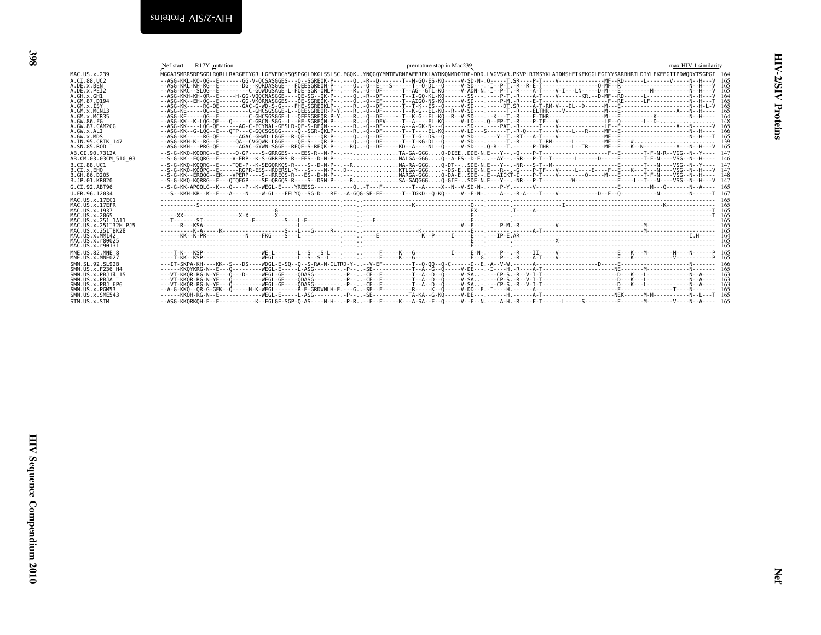<span id="page-29-1"></span><span id="page-29-0"></span>

| MAC.US.x.239                                                                                                                                                                                                                            | Nef start R17Y mutation | premature stop in Mac239<br>MGGAISMRRSRPSGDLRQRLLRARGETYGRLLGEVEDGYSQSPGGLDKGLSSLSC.EGQKYNQGQYMNTPWRNPAEEREKLAYRKQNMDDIDE*DDD.LVGVSVR.PKVPLRTMSYKLAIDMSHFIKEKGGLEGIYYSARRHRILDIYLEKEEGIIPDWQDYTSGPGI 164                          | max HIV-1 similarity                                        |
|-----------------------------------------------------------------------------------------------------------------------------------------------------------------------------------------------------------------------------------------|-------------------------|-----------------------------------------------------------------------------------------------------------------------------------------------------------------------------------------------------------------------------------|-------------------------------------------------------------|
| A.CI.88.UC2<br>A.DE.x.BEN<br>A.DE.X.PEI2<br>A.GH.X.GH1<br>A.GM.87.D194<br>A.GM.x.ISY<br>A.GM.X.MCN13<br>A.GM.X.MCR35<br>A.GW.86.FG<br>A. GW. 87. CAM2CG<br>A.GW.x.ALI<br>A.GW.x.MDS<br>A.IN.95.CRIK_147                                 |                         |                                                                                                                                                                                                                                   | 165<br>164<br>165<br>148<br>165<br>166<br>$\frac{165}{139}$ |
| A.SN.85.ROD<br>AB.CI.90.7312A<br>AB.CM.03.03CM 510 03<br>B.CI.88.UC1<br>B.CI.X.EHO<br>B.GH.86.D205<br>B.JP.01.KR020<br>G.CI.92.ABT96<br>U.FR.96.12034                                                                                   |                         |                                                                                                                                                                                                                                   | 165                                                         |
| MAC.US.x.17EC1<br>MAC.US.x.17EFR<br>MAC. US. x. 1937<br>MAC. US. x. 2065<br>MAC.US.x.250<br>MAC.US.x.251_1A11<br>MAC.US.x.251_32H_PJ5<br>MAC.US.x.251_BK28<br>MAC.US.x.MM142<br>MAC.US.x.MM142<br>MAC. US. x. r80025<br>MAC.US.x.r90131 |                         | $K_{\rm R}$ . Finally, and the contract of the contract of the contract of the contract of the contract of the contract of the contract of the contract of the contract of the contract of the contract of the contract of the co |                                                             |
| MNE.US.82.MNE 8<br>MNE.US.x.MNE027<br>SMM.SL.92.SL92B<br>SMM.US.x.F236 H4<br>SMM.US.x.PBJ14_15<br>SMM. US. x. PBJA --<br>SMM. US. x. PBJA --<br>SMM.US.x.PGM53<br>SMM. US. x. SME543<br>STM.US.x.STM                                    |                         |                                                                                                                                                                                                                                   |                                                             |
|                                                                                                                                                                                                                                         |                         |                                                                                                                                                                                                                                   |                                                             |
|                                                                                                                                                                                                                                         |                         |                                                                                                                                                                                                                                   |                                                             |
|                                                                                                                                                                                                                                         |                         |                                                                                                                                                                                                                                   |                                                             |
|                                                                                                                                                                                                                                         |                         |                                                                                                                                                                                                                                   |                                                             |
|                                                                                                                                                                                                                                         |                         |                                                                                                                                                                                                                                   |                                                             |
|                                                                                                                                                                                                                                         |                         |                                                                                                                                                                                                                                   |                                                             |